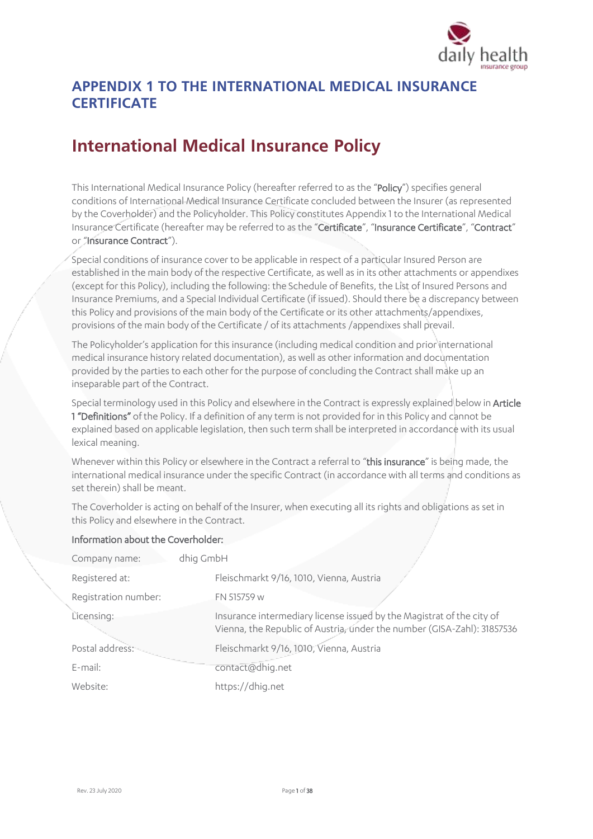

## **APPENDIX 1 TO THE INTERNATIONAL MEDICAL INSURANCE CERTIFICATE**

# **International Medical Insurance Policy**

This International Medical Insurance Policy (hereafter referred to as the "Policy") specifies general conditions of International Medical Insurance Certificate concluded between the Insurer (as represented by the Coverholder) and the Policyholder. This Policy constitutes Appendix 1 to the International Medical Insurance Certificate (hereafter may be referred to as the "Certificate", "Insurance Certificate", "Contract" or "Insurance Contract").

Special conditions of insurance cover to be applicable in respect of a particular Insured Person are established in the main body of the respective Certificate, as well as in its other attachments or appendixes (except for this Policy), including the following: the Schedule of Benefits, the List of Insured Persons and Insurance Premiums, and a Special Individual Certificate (if issued). Should there be a discrepancy between this Policy and provisions of the main body of the Certificate or its other attachments/appendixes, provisions of the main body of the Certificate / of its attachments /appendixes shall prevail.

The Policyholder's application for this insurance (including medical condition and prior international medical insurance history related documentation), as well as other information and documentation provided by the parties to each other for the purpose of concluding the Contract shall make up an inseparable part of the Contract.

Special terminology used in this Policy and elsewhere in the Contract is expressly explained below in Article **1 "Definitions"** of the Policy. If a definition of any term is not provided for in this Policy and cannot be explained based on applicable legislation, then such term shall be interpreted in accordance with its usual lexical meaning.

Whenever within this Policy or elsewhere in the Contract a referral to "this insurance" is being made, the international medical insurance under the specific Contract (in accordance with all terms and conditions as set therein) shall be meant.

The Coverholder is acting on behalf of the Insurer, when executing all its rights and obligations as set in this Policy and elsewhere in the Contract.

#### Information about the Coverholder:

| dhig GmbH<br>Company name: |                                                                                                                                                  |
|----------------------------|--------------------------------------------------------------------------------------------------------------------------------------------------|
| Registered at:             | Fleischmarkt 9/16, 1010, Vienna, Austria                                                                                                         |
| Registration number:       | FN 515759 w                                                                                                                                      |
| Licensing:                 | Insurance intermediary license issued by the Magistrat of the city of<br>Vienna, the Republic of Austria, under the number (GISA-Zahl): 31857536 |
| Postal address:            | Fleischmarkt 9/16, 1010, Vienna, Austria                                                                                                         |
| E-mail:                    | contact@dhig.net                                                                                                                                 |
| Website:                   | https://dhig.net                                                                                                                                 |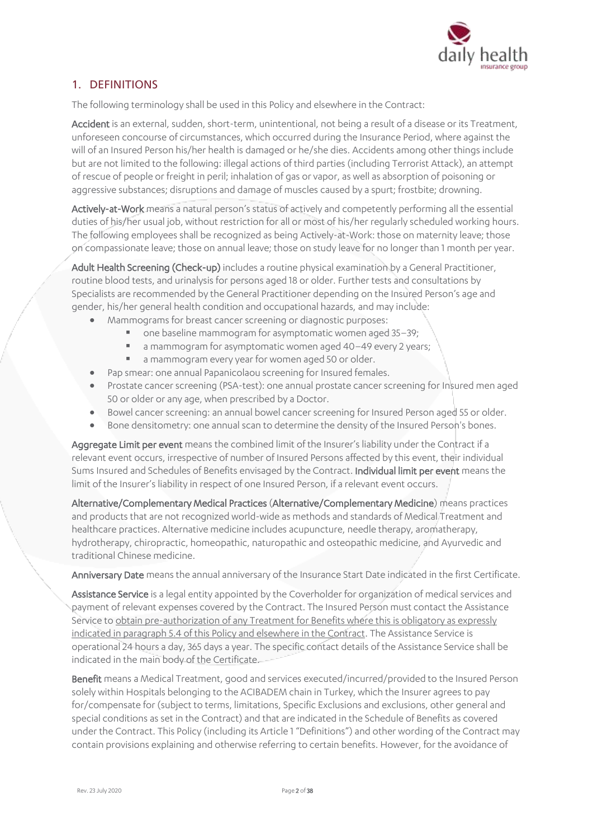

## 1. DEFINITIONS

The following terminology shall be used in this Policy and elsewhere in the Contract:

Accident is an external, sudden, short-term, unintentional, not being a result of a disease or its Treatment, unforeseen concourse of circumstances, which occurred during the Insurance Period, where against the will of an Insured Person his/her health is damaged or he/she dies. Accidents among other things include but are not limited to the following: illegal actions of third parties (including Terrorist Attack), an attempt of rescue of people or freight in peril; inhalation of gas or vapor, as well as absorption of poisoning or aggressive substances; disruptions and damage of muscles caused by a spurt; frostbite; drowning.

Actively-at-Work means a natural person's status of actively and competently performing all the essential duties of his/her usual job, without restriction for all or most of his/her regularly scheduled working hours. The following employees shall be recognized as being Actively-at-Work: those on maternity leave; those on compassionate leave; those on annual leave; those on study leave for no longer than 1 month per year.

Adult Health Screening (Check-up) includes a routine physical examination by a General Practitioner, routine blood tests, and urinalysis for persons aged 18 or older. Further tests and consultations by Specialists are recommended by the General Practitioner depending on the Insured Person's age and gender, his/her general health condition and occupational hazards, and may include:

- Mammograms for breast cancer screening or diagnostic purposes:
	- one baseline mammogram for asymptomatic women aged 35–39;
	- a mammogram for asymptomatic women aged 40–49 every 2 years;
	- a mammogram every year for women aged 50 or older.
- Pap smear: one annual Papanicolaou screening for Insured females.
- Prostate cancer screening (PSA-test): one annual prostate cancer screening for Insured men aged 50 or older or any age, when prescribed by a Doctor.
- Bowel cancer screening: an annual bowel cancer screening for Insured Person aged 55 or older.
- Bone densitometry: one annual scan to determine the density of the Insured Person's bones.

Aggregate Limit per event means the combined limit of the Insurer's liability under the Contract if a relevant event occurs, irrespective of number of Insured Persons affected by this event, their individual Sums Insured and Schedules of Benefits envisaged by the Contract. Individual limit per event means the limit of the Insurer's liability in respect of one Insured Person, if a relevant event occurs.

Alternative/Complementary Medical Practices (Alternative/Complementary Medicine) means practices and products that are not recognized world-wide as methods and standards of Medical Treatment and healthcare practices. Alternative medicine includes acupuncture, needle therapy, aromatherapy, hydrotherapy, chiropractic, homeopathic, naturopathic and osteopathic medicine, and Ayurvedic and traditional Chinese medicine.

Anniversary Date means the annual anniversary of the Insurance Start Date indicated in the first Certificate.

Assistance Service is a legal entity appointed by the Coverholder for organization of medical services and payment of relevant expenses covered by the Contract. The Insured Person must contact the Assistance Service to obtain pre-authorization of any Treatment for Benefits where this is obligatory as expressly indicated in paragraph 5.4 of this Policy and elsewhere in the Contract. The Assistance Service is operational 24 hours a day, 365 days a year. The specific contact details of the Assistance Service shall be indicated in the main body of the Certificate.

Benefit means a Medical Treatment, good and services executed/incurred/provided to the Insured Person solely within Hospitals belonging to the ACIBADEM chain in Turkey, which the Insurer agrees to pay for/compensate for (subject to terms, limitations, Specific Exclusions and exclusions, other general and special conditions as set in the Contract) and that are indicated in the Schedule of Benefits as covered under the Contract. This Policy (including its Article 1 "Definitions") and other wording of the Contract may contain provisions explaining and otherwise referring to certain benefits. However, for the avoidance of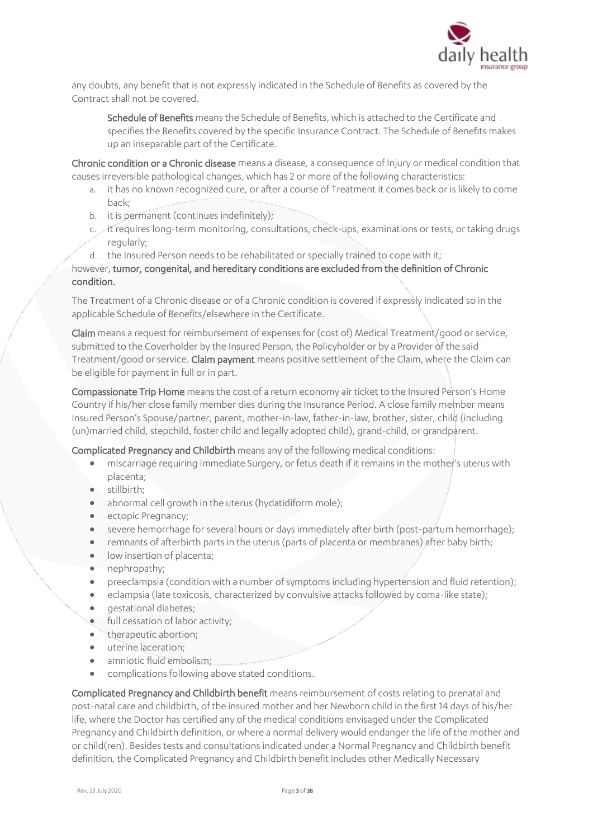

any doubts, any benefit that is not expressly indicated in the Schedule of Benefits as covered by the Contract shall not be covered.

Schedule of Benefits means the Schedule of Benefits, which is attached to the Certificate and specifies the Benefits covered by the specific Insurance Contract. The Schedule of Benefits makes up an inseparable part of the Certificate.

Chronic condition or a Chronic disease means a disease, a consequence of Injury or medical condition that causes irreversible pathological changes, which has 2 or more of the following characteristics:

- a. it has no known recognized cure, or after a course of Treatment it comes back or is likely to come back;
- b. it is permanent (continues indefinitely);
- c. it requires long-term monitoring, consultations, check-ups, examinations or tests, or taking drugs regularly;
- d. the Insured Person needs to be rehabilitated or specially trained to cope with it;

however, tumor, congenital, and hereditary conditions are excluded from the definition of Chronic condition.

The Treatment of a Chronic disease or of a Chronic condition is covered if expressly indicated so in the applicable Schedule of Benefits/elsewhere in the Certificate.

Claim means a request for reimbursement of expenses for (cost of) Medical Treatment/good or service, submitted to the Coverholder by the Insured Person, the Policyholder or by a Provider of the said Treatment/good or service. Claim payment means positive settlement of the Claim, where the Claim can be eligible for payment in full or in part.

Compassionate Trip Home means the cost of a return economy air ticket to the Insured Person's Home Country if his/her close family member dies during the Insurance Period. A close family member means Insured Person's Spouse/partner, parent, mother-in-law, father-in-law, brother, sister, child (including (un)married child, stepchild, foster child and legally adopted child), grand-child, or grandparent.

Complicated Pregnancy and Childbirth means any of the following medical conditions:

- miscarriage requiring immediate Surgery, or fetus death if it remains in the mother's uterus with placenta;
- stillbirth;
- abnormal cell growth in the uterus (hydatidiform mole);
- ectopic Pregnancy;
- severe hemorrhage for several hours or days immediately after birth (post-partum hemorrhage);
- remnants of afterbirth parts in the uterus (parts of placenta or membranes) after baby birth;
- low insertion of placenta;
- nephropathy;
- preeclampsia (condition with a number of symptoms including hypertension and fluid retention);
- eclampsia (late toxicosis, characterized by convulsive attacks followed by coma-like state);
- *gestational diabetes:*
- full cessation of labor activity;
- therapeutic abortion;
- uterine laceration;
- amniotic fluid embolism:
- complications following above stated conditions.

Complicated Pregnancy and Childbirth benefit means reimbursement of costs relating to prenatal and post-natal care and childbirth, of the insured mother and her Newborn child in the first 14 days of his/her life, where the Doctor has certified any of the medical conditions envisaged under the Complicated Pregnancy and Childbirth definition, or where a normal delivery would endanger the life of the mother and or child(ren). Besides tests and consultations indicated under a Normal Pregnancy and Childbirth benefit definition, the Complicated Pregnancy and Childbirth benefit includes other Medically Necessary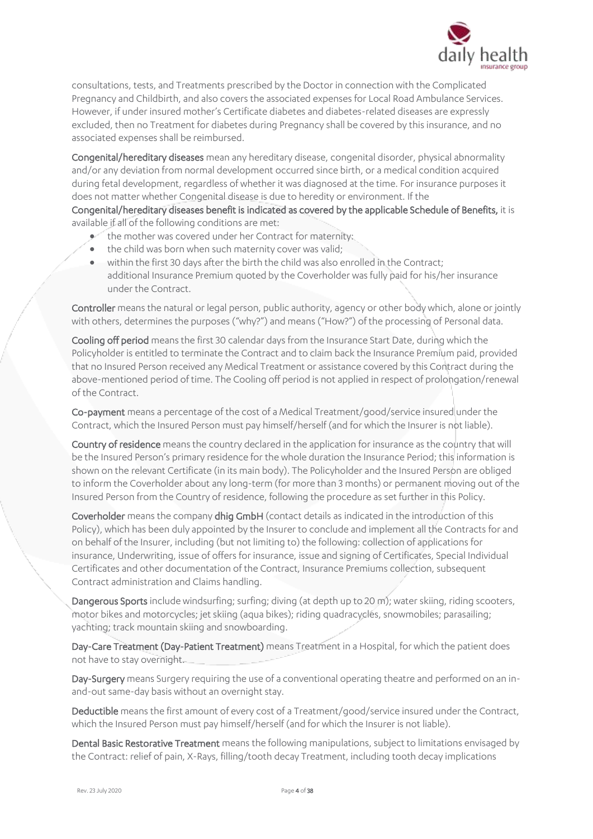

consultations, tests, and Treatments prescribed by the Doctor in connection with the Complicated Pregnancy and Childbirth, and also covers the associated expenses for Local Road Ambulance Services. However, if under insured mother's Certificate diabetes and diabetes-related diseases are expressly excluded, then no Treatment for diabetes during Pregnancy shall be covered by this insurance, and no associated expenses shall be reimbursed.

Congenital/hereditary diseases mean any hereditary disease, congenital disorder, physical abnormality and/or any deviation from normal development occurred since birth, or a medical condition acquired during fetal development, regardless of whether it was diagnosed at the time. For insurance purposes it does not matter whether Congenital disease is due to heredity or environment. If the

Congenital/hereditary diseases benefit is indicated as covered by the applicable Schedule of Benefits, it is available if all of the following conditions are met:

- the mother was covered under her Contract for maternity:
- the child was born when such maternity cover was valid:
- within the first 30 days after the birth the child was also enrolled in the Contract; additional Insurance Premium quoted by the Coverholder was fully paid for his/her insurance under the Contract.

Controller means the natural or legal person, public authority, agency or other body which, alone or jointly with others, determines the purposes ("why?") and means ("How?") of the processing of Personal data.

Cooling off period means the first 30 calendar days from the Insurance Start Date, during which the Policyholder is entitled to terminate the Contract and to claim back the Insurance Premium paid, provided that no Insured Person received any Medical Treatment or assistance covered by this Contract during the above-mentioned period of time. The Cooling off period is not applied in respect of prolongation/renewal of the Contract.

Co-payment means a percentage of the cost of a Medical Treatment/good/service insured under the Contract, which the Insured Person must pay himself/herself (and for which the Insurer is not liable).

Country of residence means the country declared in the application for insurance as the country that will be the Insured Person's primary residence for the whole duration the Insurance Period; this information is shown on the relevant Certificate (in its main body). The Policyholder and the Insured Person are obliged to inform the Coverholder about any long-term (for more than 3 months) or permanent moving out of the Insured Person from the Country of residence, following the procedure as set further in this Policy.

Coverholder means the company dhig GmbH (contact details as indicated in the introduction of this Policy), which has been duly appointed by the Insurer to conclude and implement all the Contracts for and on behalf of the Insurer, including (but not limiting to) the following: collection of applications for insurance, Underwriting, issue of offers for insurance, issue and signing of Certificates, Special Individual Certificates and other documentation of the Contract, Insurance Premiums collection, subsequent Contract administration and Claims handling.

Dangerous Sports include windsurfing; surfing; diving (at depth up to 20 m); water skiing, riding scooters, motor bikes and motorcycles; jet skiing (aqua bikes); riding quadracycles, snowmobiles; parasailing; yachting; track mountain skiing and snowboarding.

Day-Care Treatment (Day-Patient Treatment) means Treatment in a Hospital, for which the patient does not have to stay overnight.

Day-Surgery means Surgery requiring the use of a conventional operating theatre and performed on an inand-out same-day basis without an overnight stay.

Deductible means the first amount of every cost of a Treatment/good/service insured under the Contract, which the Insured Person must pay himself/herself (and for which the Insurer is not liable).

Dental Basic Restorative Treatment means the following manipulations, subject to limitations envisaged by the Contract: relief of pain, X-Rays, filling/tooth decay Treatment, including tooth decay implications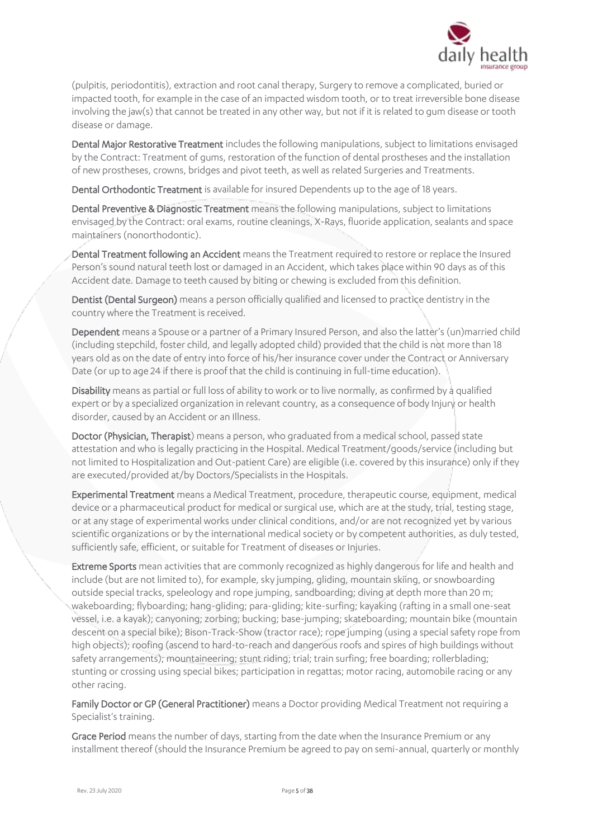

(pulpitis, periodontitis), extraction and root canal therapy, Surgery to remove a complicated, buried or impacted tooth, for example in the case of an impacted wisdom tooth, or to treat irreversible bone disease involving the jaw(s) that cannot be treated in any other way, but not if it is related to gum disease or tooth disease or damage.

Dental Major Restorative Treatment includes the following manipulations, subject to limitations envisaged by the Contract: Treatment of gums, restoration of the function of dental prostheses and the installation of new prostheses, crowns, bridges and pivot teeth, as well as related Surgeries and Treatments.

Dental Orthodontic Treatment is available for insured Dependents up to the age of 18 years.

Dental Preventive & Diagnostic Treatment means the following manipulations, subject to limitations envisaged by the Contract: oral exams, routine cleanings, X-Rays, fluoride application, sealants and space maintainers (nonorthodontic).

Dental Treatment following an Accident means the Treatment required to restore or replace the Insured Person's sound natural teeth lost or damaged in an Accident, which takes place within 90 days as of this Accident date. Damage to teeth caused by biting or chewing is excluded from this definition.

Dentist (Dental Surgeon) means a person officially qualified and licensed to practice dentistry in the country where the Treatment is received.

Dependent means a Spouse or a partner of a Primary Insured Person, and also the latter's (un)married child (including stepchild, foster child, and legally adopted child) provided that the child is not more than 18 years old as on the date of entry into force of his/her insurance cover under the Contract or Anniversary Date (or up to age 24 if there is proof that the child is continuing in full-time education).

Disability means as partial or full loss of ability to work or to live normally, as confirmed by a qualified expert or by a specialized organization in relevant country, as a consequence of body Injury or health disorder, caused by an Accident or an Illness.

Doctor (Physician, Therapist) means a person, who graduated from a medical school, passed state attestation and who is legally practicing in the Hospital. Medical Treatment/goods/service (including but not limited to Hospitalization and Out-patient Care) are eligible (i.e. covered by this insurance) only if they are executed/provided at/by Doctors/Specialists in the Hospitals.

Experimental Treatment means a Medical Treatment, procedure, therapeutic course, equipment, medical device or a pharmaceutical product for medical or surgical use, which are at the study, trial, testing stage, or at any stage of experimental works under clinical conditions, and/or are not recognized yet by various scientific organizations or by the international medical society or by competent authorities, as duly tested, sufficiently safe, efficient, or suitable for Treatment of diseases or Injuries.

Extreme Sports mean activities that are commonly recognized as highly dangerous for life and health and include (but are not limited to), for example, sky jumping, gliding, mountain skiing, or snowboarding outside special tracks, speleology and rope jumping, sandboarding; diving at depth more than 20 m; wakeboarding; flyboarding; hang-gliding; para-gliding; kite-surfing; kayaking (rafting in a small one-seat vessel, i.e. a kayak); canyoning; zorbing; bucking; base-jumping; skateboarding; mountain bike (mountain descent on a special bike); Bison-Track-Show (tractor race); rope jumping (using a special safety rope from high objects); roofing (ascend to hard-to-reach and dangerous roofs and spires of high buildings without safety arrangements); mountaineering; stunt riding; trial; train surfing; free boarding; rollerblading; stunting or crossing using special bikes; participation in regattas; motor racing, automobile racing or any other racing.

Family Doctor or GP (General Practitioner) means a Doctor providing Medical Treatment not requiring a Specialist's training.

Grace Period means the number of days, starting from the date when the Insurance Premium or any installment thereof (should the Insurance Premium be agreed to pay on semi-annual, quarterly or monthly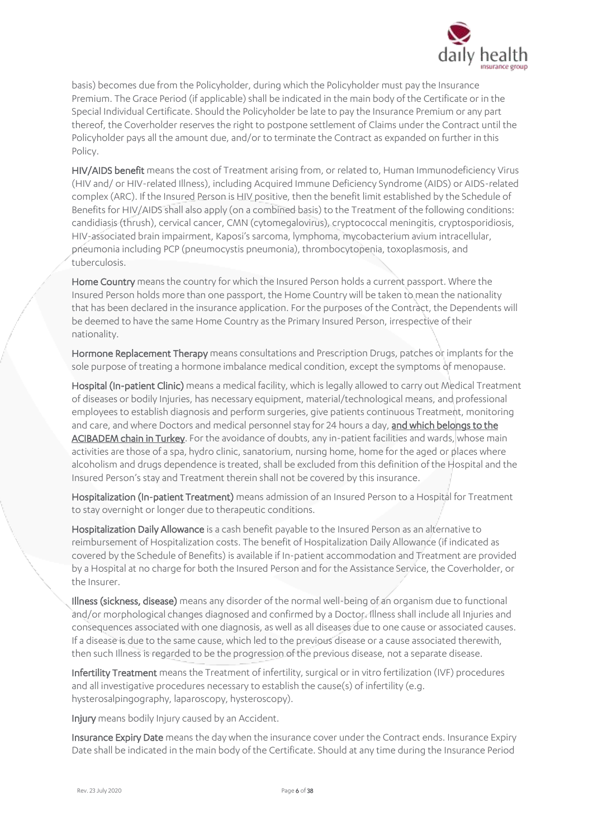

basis) becomes due from the Policyholder, during which the Policyholder must pay the Insurance Premium. The Grace Period (if applicable) shall be indicated in the main body of the Certificate or in the Special Individual Certificate. Should the Policyholder be late to pay the Insurance Premium or any part thereof, the Coverholder reserves the right to postpone settlement of Claims under the Contract until the Policyholder pays all the amount due, and/or to terminate the Contract as expanded on further in this Policy.

HIV/AIDS benefit means the cost of Treatment arising from, or related to, Human Immunodeficiency Virus (HIV and/ or HIV-related Illness), including Acquired Immune Deficiency Syndrome (AIDS) or AIDS-related complex (ARC). If the Insured Person is HIV positive, then the benefit limit established by the Schedule of Benefits for HIV/AIDS shall also apply (on a combined basis) to the Treatment of the following conditions: candidiasis (thrush), cervical cancer, CMN (cytomegalovirus), cryptococcal meningitis, cryptosporidiosis, HIV-associated brain impairment, Kaposi's sarcoma, lymphoma, mycobacterium avium intracellular, pneumonia including PCP (pneumocystis pneumonia), thrombocytopenia, toxoplasmosis, and tuberculosis.

Home Country means the country for which the Insured Person holds a current passport. Where the Insured Person holds more than one passport, the Home Country will be taken to mean the nationality that has been declared in the insurance application. For the purposes of the Contract, the Dependents will be deemed to have the same Home Country as the Primary Insured Person, irrespective of their nationality.

Hormone Replacement Therapy means consultations and Prescription Drugs, patches or implants for the sole purpose of treating a hormone imbalance medical condition, except the symptoms of menopause.

Hospital (In-patient Clinic) means a medical facility, which is legally allowed to carry out Medical Treatment of diseases or bodily Injuries, has necessary equipment, material/technological means, and professional employees to establish diagnosis and perform surgeries, give patients continuous Treatment, monitoring and care, and where Doctors and medical personnel stay for 24 hours a day, and which belongs to the ACIBADEM chain in Turkey. For the avoidance of doubts, any in-patient facilities and wards, whose main activities are those of a spa, hydro clinic, sanatorium, nursing home, home for the aged or places where alcoholism and drugs dependence is treated, shall be excluded from this definition of the Hospital and the Insured Person's stay and Treatment therein shall not be covered by this insurance.

Hospitalization (In-patient Treatment) means admission of an Insured Person to a Hospital for Treatment to stay overnight or longer due to therapeutic conditions.

Hospitalization Daily Allowance is a cash benefit payable to the Insured Person as an alternative to reimbursement of Hospitalization costs. The benefit of Hospitalization Daily Allowance (if indicated as covered by the Schedule of Benefits) is available if In-patient accommodation and Treatment are provided by a Hospital at no charge for both the Insured Person and for the Assistance Service, the Coverholder, or the Insurer.

Illness (sickness, disease) means any disorder of the normal well-being of an organism due to functional and/or morphological changes diagnosed and confirmed by a Doctor. Illness shall include all Injuries and consequences associated with one diagnosis, as well as all diseases due to one cause or associated causes. If a disease is due to the same cause, which led to the previous disease or a cause associated therewith, then such Illness is regarded to be the progression of the previous disease, not a separate disease.

Infertility Treatment means the Treatment of infertility, surgical or in vitro fertilization (IVF) procedures and all investigative procedures necessary to establish the cause(s) of infertility (e.g. hysterosalpingography, laparoscopy, hysteroscopy).

Injury means bodily Injury caused by an Accident.

Insurance Expiry Date means the day when the insurance cover under the Contract ends. Insurance Expiry Date shall be indicated in the main body of the Certificate. Should at any time during the Insurance Period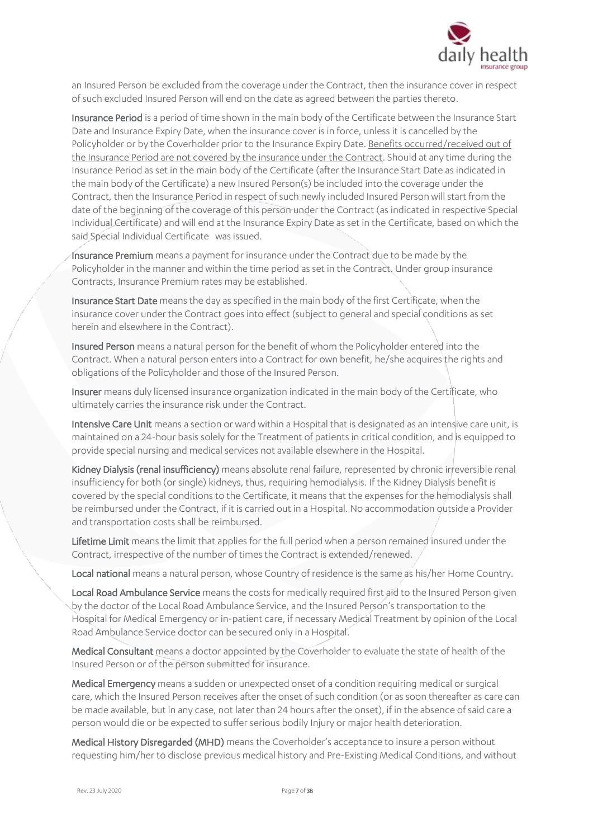

an Insured Person be excluded from the coverage under the Contract, then the insurance cover in respect of such excluded Insured Person will end on the date as agreed between the parties thereto.

Insurance Period is a period of time shown in the main body of the Certificate between the Insurance Start Date and Insurance Expiry Date, when the insurance cover is in force, unless it is cancelled by the Policyholder or by the Coverholder prior to the Insurance Expiry Date. Benefits occurred/received out of the Insurance Period are not covered by the insurance under the Contract. Should at any time during the Insurance Period as set in the main body of the Certificate (after the Insurance Start Date as indicated in the main body of the Certificate) a new Insured Person(s) be included into the coverage under the Contract, then the Insurance Period in respect of such newly included Insured Person will start from the date of the beginning of the coverage of this person under the Contract (as indicated in respective Special Individual Certificate) and will end at the Insurance Expiry Date as set in the Certificate, based on which the said Special Individual Certificate was issued.

Insurance Premium means a payment for insurance under the Contract due to be made by the Policyholder in the manner and within the time period as set in the Contract. Under group insurance Contracts, Insurance Premium rates may be established.

Insurance Start Date means the day as specified in the main body of the first Certificate, when the insurance cover under the Contract goes into effect (subject to general and special conditions as set herein and elsewhere in the Contract).

Insured Person means a natural person for the benefit of whom the Policyholder entered into the Contract. When a natural person enters into a Contract for own benefit, he/she acquires the rights and obligations of the Policyholder and those of the Insured Person.

Insurer means duly licensed insurance organization indicated in the main body of the Certificate, who ultimately carries the insurance risk under the Contract.

Intensive Care Unit means a section or ward within a Hospital that is designated as an intensive care unit, is maintained on a 24-hour basis solely for the Treatment of patients in critical condition, and is equipped to provide special nursing and medical services not available elsewhere in the Hospital.

Kidney Dialysis (renal insufficiency) means absolute renal failure, represented by chronic irreversible renal insufficiency for both (or single) kidneys, thus, requiring hemodialysis. If the Kidney Dialysis benefit is covered by the special conditions to the Certificate, it means that the expenses for the hemodialysis shall be reimbursed under the Contract, if it is carried out in a Hospital. No accommodation outside a Provider and transportation costs shall be reimbursed.

Lifetime Limit means the limit that applies for the full period when a person remained insured under the Contract, irrespective of the number of times the Contract is extended/renewed.

Local national means a natural person, whose Country of residence is the same as his/her Home Country.

Local Road Ambulance Service means the costs for medically required first aid to the Insured Person given by the doctor of the Local Road Ambulance Service, and the Insured Person's transportation to the Hospital for Medical Emergency or in-patient care, if necessary Medical Treatment by opinion of the Local Road Ambulance Service doctor can be secured only in a Hospital.

Medical Consultant means a doctor appointed by the Coverholder to evaluate the state of health of the Insured Person or of the person submitted for insurance.

Medical Emergency means a sudden or unexpected onset of a condition requiring medical or surgical care, which the Insured Person receives after the onset of such condition (or as soon thereafter as care can be made available, but in any case, not later than 24 hours after the onset), if in the absence of said care a person would die or be expected to suffer serious bodily Injury or major health deterioration.

Medical History Disregarded (MHD) means the Coverholder's acceptance to insure a person without requesting him/her to disclose previous medical history and Pre-Existing Medical Conditions, and without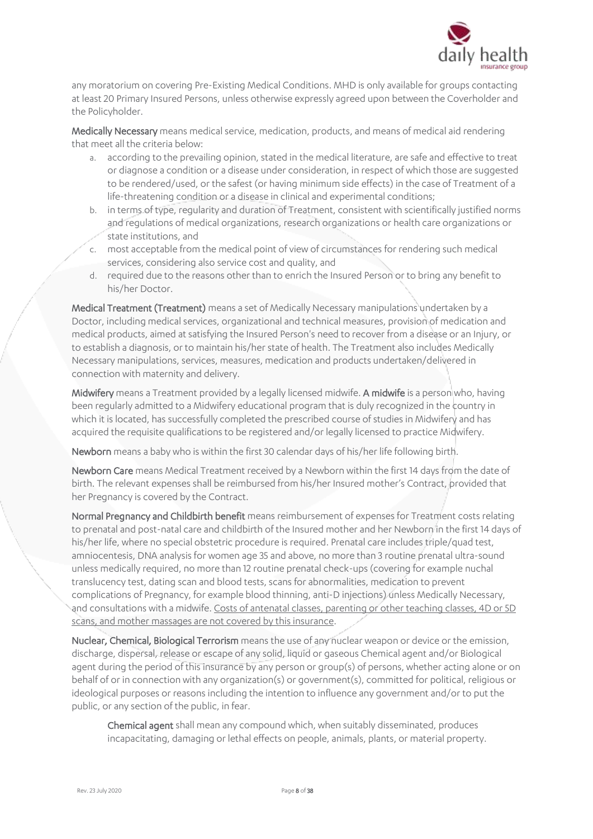

any moratorium on covering Pre-Existing Medical Conditions. MHD is only available for groups contacting at least 20 Primary Insured Persons, unless otherwise expressly agreed upon between the Coverholder and the Policyholder.

Medically Necessary means medical service, medication, products, and means of medical aid rendering that meet all the criteria below:

- a. according to the prevailing opinion, stated in the medical literature, are safe and effective to treat or diagnose a condition or a disease under consideration, in respect of which those are suggested to be rendered/used, or the safest (or having minimum side effects) in the case of Treatment of a life-threatening condition or a disease in clinical and experimental conditions;
- b. in terms of type, regularity and duration of Treatment, consistent with scientifically justified norms and regulations of medical organizations, research organizations or health care organizations or state institutions, and
- c. most acceptable from the medical point of view of circumstances for rendering such medical services, considering also service cost and quality, and
- d. required due to the reasons other than to enrich the Insured Person or to bring any benefit to his/her Doctor.

Medical Treatment (Treatment) means a set of Medically Necessary manipulations undertaken by a Doctor, including medical services, organizational and technical measures, provision of medication and medical products, aimed at satisfying the Insured Person's need to recover from a disease or an Injury, or to establish a diagnosis, or to maintain his/her state of health. The Treatment also includes Medically Necessary manipulations, services, measures, medication and products undertaken/delivered in connection with maternity and delivery.

Midwifery means a Treatment provided by a legally licensed midwife. A midwife is a person who, having been regularly admitted to a Midwifery educational program that is duly recognized in the country in which it is located, has successfully completed the prescribed course of studies in Midwifery and has acquired the requisite qualifications to be registered and/or legally licensed to practice Midwifery.

Newborn means a baby who is within the first 30 calendar days of his/her life following birth.

Newborn Care means Medical Treatment received by a Newborn within the first 14 days from the date of birth. The relevant expenses shall be reimbursed from his/her Insured mother's Contract, provided that her Pregnancy is covered by the Contract.

Normal Pregnancy and Childbirth benefit means reimbursement of expenses for Treatment costs relating to prenatal and post-natal care and childbirth of the Insured mother and her Newborn in the first 14 days of his/her life, where no special obstetric procedure is required. Prenatal care includes triple/quad test, amniocentesis, DNA analysis for women age 35 and above, no more than 3 routine prenatal ultra-sound unless medically required, no more than 12 routine prenatal check-ups (covering for example nuchal translucency test, dating scan and blood tests, scans for abnormalities, medication to prevent complications of Pregnancy, for example blood thinning, anti-D injections) unless Medically Necessary, and consultations with a midwife. Costs of antenatal classes, parenting or other teaching classes, 4D or 5D scans, and mother massages are not covered by this insurance.

Nuclear, Chemical, Biological Terrorism means the use of any nuclear weapon or device or the emission, discharge, dispersal, release or escape of any solid, liquid or gaseous Chemical agent and/or Biological agent during the period of this insurance by any person or group(s) of persons, whether acting alone or on behalf of or in connection with any organization(s) or government(s), committed for political, religious or ideological purposes or reasons including the intention to influence any government and/or to put the public, or any section of the public, in fear.

Chemical agent shall mean any compound which, when suitably disseminated, produces incapacitating, damaging or lethal effects on people, animals, plants, or material property.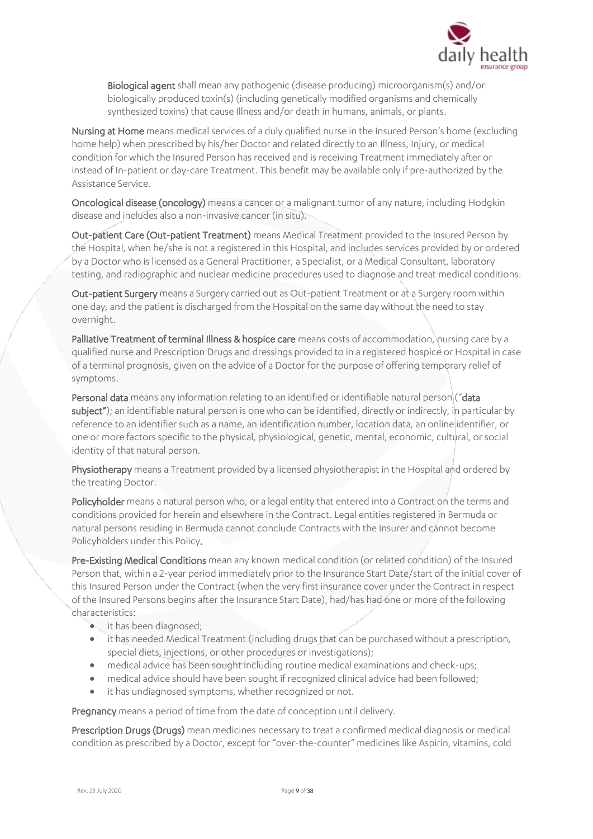

Biological agent shall mean any pathogenic (disease producing) microorganism(s) and/or biologically produced toxin(s) (including genetically modified organisms and chemically synthesized toxins) that cause Illness and/or death in humans, animals, or plants.

Nursing at Home means medical services of a duly qualified nurse in the Insured Person's home (excluding home help) when prescribed by his/her Doctor and related directly to an Illness, Injury, or medical condition for which the Insured Person has received and is receiving Treatment immediately after or instead of In-patient or day-care Treatment. This benefit may be available only if pre-authorized by the Assistance Service.

Oncological disease (oncology) means a cancer or a malignant tumor of any nature, including Hodgkin disease and includes also a non-invasive cancer (in situ).

Out-patient Care (Out-patient Treatment) means Medical Treatment provided to the Insured Person by the Hospital, when he/she is not a registered in this Hospital, and includes services provided by or ordered by a Doctor who is licensed as a General Practitioner, a Specialist, or a Medical Consultant, laboratory testing, and radiographic and nuclear medicine procedures used to diagnose and treat medical conditions.

Out-patient Surgery means a Surgery carried out as Out-patient Treatment or at a Surgery room within one day, and the patient is discharged from the Hospital on the same day without the need to stay overnight.

Palliative Treatment of terminal Illness & hospice care means costs of accommodation, nursing care by a qualified nurse and Prescription Drugs and dressings provided to in a registered hospice or Hospital in case of a terminal prognosis, given on the advice of a Doctor for the purpose of offering temporary relief of symptoms.

Personal data means any information relating to an identified or identifiable natural person ("data subject"); an identifiable natural person is one who can be identified, directly or indirectly, in particular by reference to an identifier such as a name, an identification number, location data, an online identifier, or one or more factors specific to the physical, physiological, genetic, mental, economic, cultural, or social identity of that natural person.

Physiotherapy means a Treatment provided by a licensed physiotherapist in the Hospital and ordered by the treating Doctor.

Policyholder means a natural person who, or a legal entity that entered into a Contract on the terms and conditions provided for herein and elsewhere in the Contract. Legal entities registered in Bermuda or natural persons residing in Bermuda cannot conclude Contracts with the Insurer and cannot become Policyholders under this Policy.

Pre-Existing Medical Conditions mean any known medical condition (or related condition) of the Insured Person that, within a 2-year period immediately prior to the Insurance Start Date/start of the initial cover of this Insured Person under the Contract (when the very first insurance cover under the Contract in respect of the Insured Persons begins after the Insurance Start Date), had/has had one or more of the following characteristics:

- it has been diagnosed;
- it has needed Medical Treatment (including drugs that can be purchased without a prescription, special diets, injections, or other procedures or investigations);
- medical advice has been sought including routine medical examinations and check-ups;
- medical advice should have been sought if recognized clinical advice had been followed;
- it has undiagnosed symptoms, whether recognized or not.

Pregnancy means a period of time from the date of conception until delivery.

Prescription Drugs (Drugs) mean medicines necessary to treat a confirmed medical diagnosis or medical condition as prescribed by a Doctor, except for "over-the-counter" medicines like Aspirin, vitamins, cold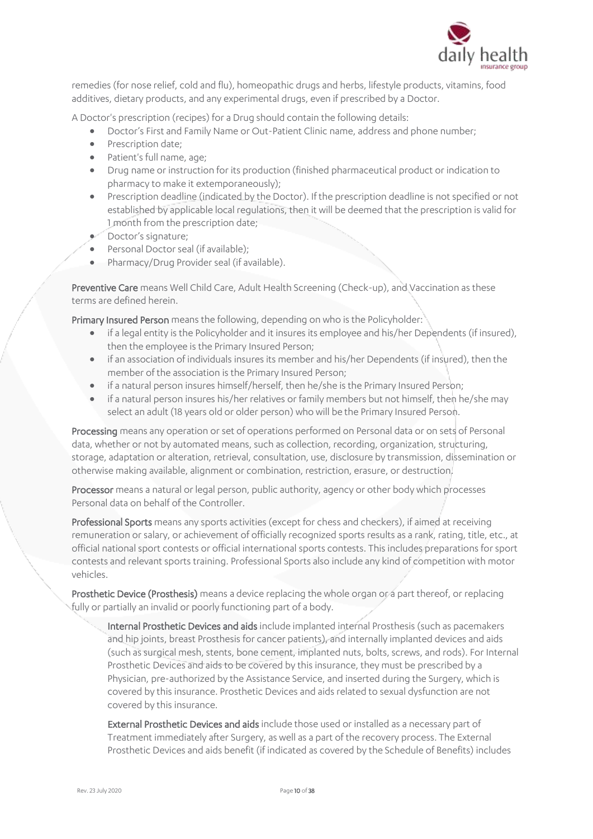

remedies (for nose relief, cold and flu), homeopathic drugs and herbs, lifestyle products, vitamins, food additives, dietary products, and any experimental drugs, even if prescribed by a Doctor.

A Doctor's prescription (recipes) for a Drug should contain the following details:

- Doctor's First and Family Name or Out-Patient Clinic name, address and phone number;
- Prescription date;
- Patient's full name, age;
- Drug name or instruction for its production (finished pharmaceutical product or indication to pharmacy to make it extemporaneously);
- Prescription deadline (indicated by the Doctor). If the prescription deadline is not specified or not established by applicable local regulations, then it will be deemed that the prescription is valid for 1 month from the prescription date;
- Doctor's signature;
- Personal Doctor seal (if available);
- Pharmacy/Drug Provider seal (if available).

Preventive Care means Well Child Care, Adult Health Screening (Check-up), and Vaccination as these terms are defined herein.

Primary Insured Person means the following, depending on who is the Policyholder:

- if a legal entity is the Policyholder and it insures its employee and his/her Dependents (if insured), then the employee is the Primary Insured Person;
- if an association of individuals insures its member and his/her Dependents (if insured), then the member of the association is the Primary Insured Person;
- if a natural person insures himself/herself, then he/she is the Primary Insured Person;
- if a natural person insures his/her relatives or family members but not himself, then he/she may select an adult (18 years old or older person) who will be the Primary Insured Person.

Processing means any operation or set of operations performed on Personal data or on sets of Personal data, whether or not by automated means, such as collection, recording, organization, structuring, storage, adaptation or alteration, retrieval, consultation, use, disclosure by transmission, dissemination or otherwise making available, alignment or combination, restriction, erasure, or destruction.

Processor means a natural or legal person, public authority, agency or other body which processes Personal data on behalf of the Controller.

Professional Sports means any sports activities (except for chess and checkers), if aimed at receiving remuneration or salary, or achievement of officially recognized sports results as a rank, rating, title, etc., at official national sport contests or official international sports contests. This includes preparations for sport contests and relevant sports training. Professional Sports also include any kind of competition with motor vehicles.

Prosthetic Device (Prosthesis) means a device replacing the whole organ or a part thereof, or replacing fully or partially an invalid or poorly functioning part of a body.

Internal Prosthetic Devices and aids include implanted internal Prosthesis (such as pacemakers and hip joints, breast Prosthesis for cancer patients), and internally implanted devices and aids (such as surgical mesh, stents, bone cement, implanted nuts, bolts, screws, and rods). For Internal Prosthetic Devices and aids to be covered by this insurance, they must be prescribed by a Physician, pre-authorized by the Assistance Service, and inserted during the Surgery, which is covered by this insurance. Prosthetic Devices and aids related to sexual dysfunction are not covered by this insurance.

External Prosthetic Devices and aids include those used or installed as a necessary part of Treatment immediately after Surgery, as well as a part of the recovery process. The External Prosthetic Devices and aids benefit (if indicated as covered by the Schedule of Benefits) includes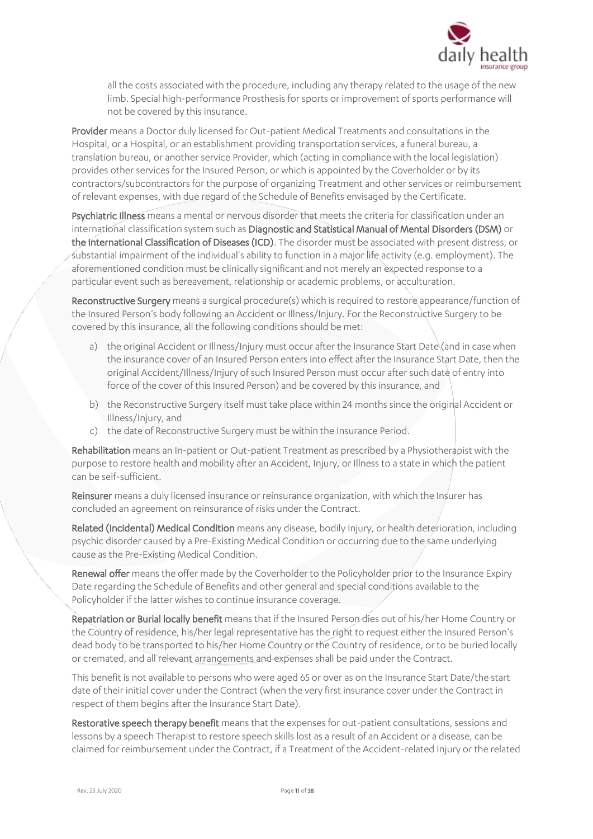

all the costs associated with the procedure, including any therapy related to the usage of the new limb. Special high-performance Prosthesis for sports or improvement of sports performance will not be covered by this insurance.

Provider means a Doctor duly licensed for Out-patient Medical Treatments and consultations in the Hospital, or a Hospital, or an establishment providing transportation services, a funeral bureau, a translation bureau, or another service Provider, which (acting in compliance with the local legislation) provides other services for the Insured Person, or which is appointed by the Coverholder or by its contractors/subcontractors for the purpose of organizing Treatment and other services or reimbursement of relevant expenses, with due regard of the Schedule of Benefits envisaged by the Certificate.

Psychiatric Illness means a mental or nervous disorder that meets the criteria for classification under an international classification system such as Diagnostic and Statistical Manual of Mental Disorders (DSM) or the International Classification of Diseases (ICD). The disorder must be associated with present distress, or substantial impairment of the individual's ability to function in a major life activity (e.g. employment). The aforementioned condition must be clinically significant and not merely an expected response to a particular event such as bereavement, relationship or academic problems, or acculturation.

Reconstructive Surgery means a surgical procedure(s) which is required to restore appearance/function of the Insured Person's body following an Accident or Illness/Injury. For the Reconstructive Surgery to be covered by this insurance, all the following conditions should be met:

- a) the original Accident or Illness/Injury must occur after the Insurance Start Date (and in case when the insurance cover of an Insured Person enters into effect after the Insurance Start Date, then the original Accident/Illness/Injury of such Insured Person must occur after such date of entry into force of the cover of this Insured Person) and be covered by this insurance, and
- b) the Reconstructive Surgery itself must take place within 24 months since the original Accident or Illness/Injury, and
- c) the date of Reconstructive Surgery must be within the Insurance Period.

Rehabilitation means an In-patient or Out-patient Treatment as prescribed by a Physiotherapist with the purpose to restore health and mobility after an Accident, Injury, or Illness to a state in which the patient can be self-sufficient.

Reinsurer means a duly licensed insurance or reinsurance organization, with which the Insurer has concluded an agreement on reinsurance of risks under the Contract.

Related (Incidental) Medical Condition means any disease, bodily Injury, or health deterioration, including psychic disorder caused by a Pre-Existing Medical Condition or occurring due to the same underlying cause as the Pre-Existing Medical Condition.

Renewal offer means the offer made by the Coverholder to the Policyholder prior to the Insurance Expiry Date regarding the Schedule of Benefits and other general and special conditions available to the Policyholder if the latter wishes to continue insurance coverage.

Repatriation or Burial locally benefit means that if the Insured Person dies out of his/her Home Country or the Country of residence, his/her legal representative has the right to request either the Insured Person's dead body to be transported to his/her Home Country or the Country of residence, or to be buried locally or cremated, and all relevant arrangements and expenses shall be paid under the Contract.

This benefit is not available to persons who were aged 65 or over as on the Insurance Start Date/the start date of their initial cover under the Contract (when the very first insurance cover under the Contract in respect of them begins after the Insurance Start Date).

Restorative speech therapy benefit means that the expenses for out-patient consultations, sessions and lessons by a speech Therapist to restore speech skills lost as a result of an Accident or a disease, can be claimed for reimbursement under the Contract, if a Treatment of the Accident-related Injury or the related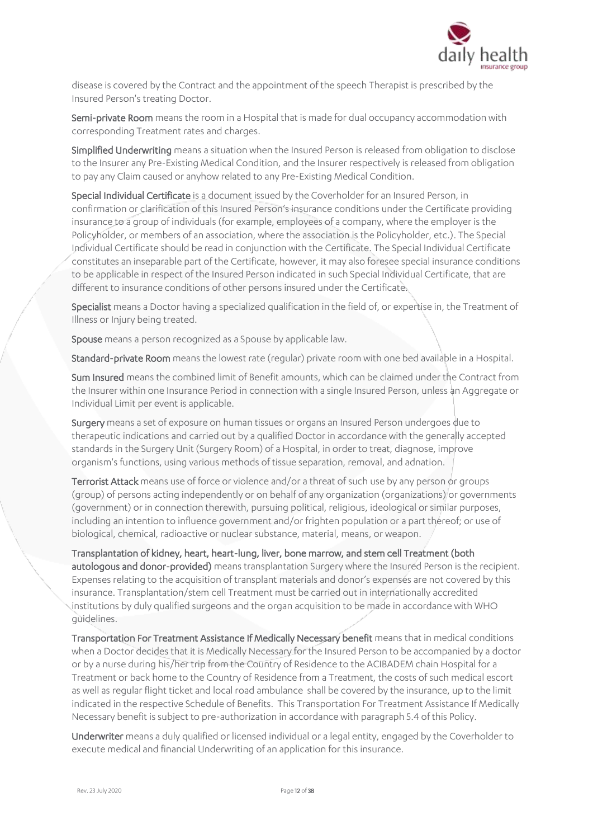

disease is covered by the Contract and the appointment of the speech Therapist is prescribed by the Insured Person's treating Doctor.

Semi-private Room means the room in a Hospital that is made for dual occupancy accommodation with corresponding Treatment rates and charges.

Simplified Underwriting means a situation when the Insured Person is released from obligation to disclose to the Insurer any Pre-Existing Medical Condition, and the Insurer respectively is released from obligation to pay any Claim caused or anyhow related to any Pre-Existing Medical Condition.

Special Individual Certificate is a document issued by the Coverholder for an Insured Person, in confirmation or clarification of this Insured Person's insurance conditions under the Certificate providing insurance to a group of individuals (for example, employees of a company, where the employer is the Policyholder, or members of an association, where the association is the Policyholder, etc.). The Special Individual Certificate should be read in conjunction with the Certificate. The Special Individual Certificate constitutes an inseparable part of the Certificate, however, it may also foresee special insurance conditions to be applicable in respect of the Insured Person indicated in such Special Individual Certificate, that are different to insurance conditions of other persons insured under the Certificate.

Specialist means a Doctor having a specialized qualification in the field of, or expertise in, the Treatment of Illness or Injury being treated.

Spouse means a person recognized as a Spouse by applicable law.

Standard-private Room means the lowest rate (regular) private room with one bed available in a Hospital.

Sum Insured means the combined limit of Benefit amounts, which can be claimed under the Contract from the Insurer within one Insurance Period in connection with a single Insured Person, unless an Aggregate or Individual Limit per event is applicable.

Surgery means a set of exposure on human tissues or organs an Insured Person undergoes due to therapeutic indications and carried out by a qualified Doctor in accordance with the generally accepted standards in the Surgery Unit (Surgery Room) of a Hospital, in order to treat, diagnose, improve organism's functions, using various methods of tissue separation, removal, and adnation.

Terrorist Attack means use of force or violence and/or a threat of such use by any person or groups (group) of persons acting independently or on behalf of any organization (organizations) or governments (government) or in connection therewith, pursuing political, religious, ideological or similar purposes, including an intention to influence government and/or frighten population or a part thereof; or use of biological, chemical, radioactive or nuclear substance, material, means, or weapon.

Transplantation of kidney, heart, heart-lung, liver, bone marrow, and stem cell Treatment (both autologous and donor-provided) means transplantation Surgery where the Insured Person is the recipient. Expenses relating to the acquisition of transplant materials and donor's expenses are not covered by this insurance. Transplantation/stem cell Treatment must be carried out in internationally accredited institutions by duly qualified surgeons and the organ acquisition to be made in accordance with WHO guidelines.

Transportation For Treatment Assistance If Medically Necessary benefit means that in medical conditions when a Doctor decides that it is Medically Necessary for the Insured Person to be accompanied by a doctor or by a nurse during his/her trip from the Country of Residence to the ACIBADEM chain Hospital for a Treatment or back home to the Country of Residence from a Treatment, the costs of such medical escort as well as regular flight ticket and local road ambulance shall be covered by the insurance, up to the limit indicated in the respective Schedule of Benefits. This Transportation For Treatment Assistance If Medically Necessary benefit is subject to pre-authorization in accordance with paragraph 5.4 of this Policy.

Underwriter means a duly qualified or licensed individual or a legal entity, engaged by the Coverholder to execute medical and financial Underwriting of an application for this insurance.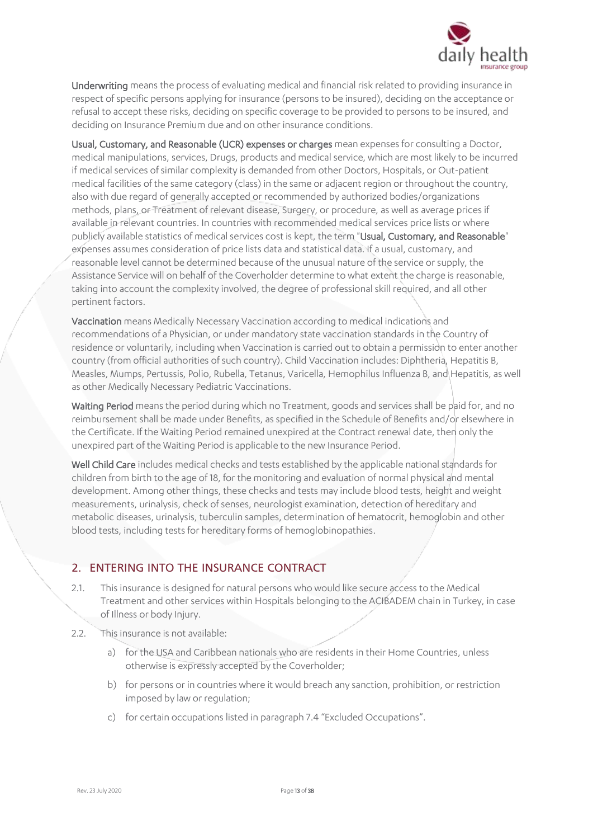

Underwriting means the process of evaluating medical and financial risk related to providing insurance in respect of specific persons applying for insurance (persons to be insured), deciding on the acceptance or refusal to accept these risks, deciding on specific coverage to be provided to persons to be insured, and deciding on Insurance Premium due and on other insurance conditions.

Usual, Customary, and Reasonable (UCR) expenses or charges mean expenses for consulting a Doctor, medical manipulations, services, Drugs, products and medical service, which are most likely to be incurred if medical services of similar complexity is demanded from other Doctors, Hospitals, or Out-patient medical facilities of the same category (class) in the same or adjacent region or throughout the country, also with due regard of generally accepted or recommended by authorized bodies/organizations methods, plans, or Treatment of relevant disease, Surgery, or procedure, as well as average prices if available in relevant countries. In countries with recommended medical services price lists or where publicly available statistics of medical services cost is kept, the term "Usual, Customary, and Reasonable" expenses assumes consideration of price lists data and statistical data. If a usual, customary, and reasonable level cannot be determined because of the unusual nature of the service or supply, the Assistance Service will on behalf of the Coverholder determine to what extent the charge is reasonable, taking into account the complexity involved, the degree of professional skill required, and all other pertinent factors.

Vaccination means Medically Necessary Vaccination according to medical indications and recommendations of a Physician, or under mandatory state vaccination standards in the Country of residence or voluntarily, including when Vaccination is carried out to obtain a permission to enter another country (from official authorities of such country). Child Vaccination includes: Diphtheria, Hepatitis B, Measles, Mumps, Pertussis, Polio, Rubella, Tetanus, Varicella, Hemophilus Influenza B, and Hepatitis, as well as other Medically Necessary Pediatric Vaccinations.

Waiting Period means the period during which no Treatment, goods and services shall be paid for, and no reimbursement shall be made under Benefits, as specified in the Schedule of Benefits and/or elsewhere in the Certificate. If the Waiting Period remained unexpired at the Contract renewal date, then only the unexpired part of the Waiting Period is applicable to the new Insurance Period.

Well Child Care includes medical checks and tests established by the applicable national standards for children from birth to the age of 18, for the monitoring and evaluation of normal physical and mental development. Among other things, these checks and tests may include blood tests, height and weight measurements, urinalysis, check of senses, neurologist examination, detection of hereditary and metabolic diseases, urinalysis, tuberculin samples, determination of hematocrit, hemoglobin and other blood tests, including tests for hereditary forms of hemoglobinopathies.

## 2. ENTERING INTO THE INSURANCE CONTRACT

- 2.1. This insurance is designed for natural persons who would like secure access to the Medical Treatment and other services within Hospitals belonging to the ACIBADEM chain in Turkey, in case of Illness or body Injury.
- 2.2. This insurance is not available:
	- a) for the USA and Caribbean nationals who are residents in their Home Countries, unless otherwise is expressly accepted by the Coverholder;
	- b) for persons or in countries where it would breach any sanction, prohibition, or restriction imposed by law or regulation;
	- c) for certain occupations listed in paragraph 7.4 "Excluded Occupations".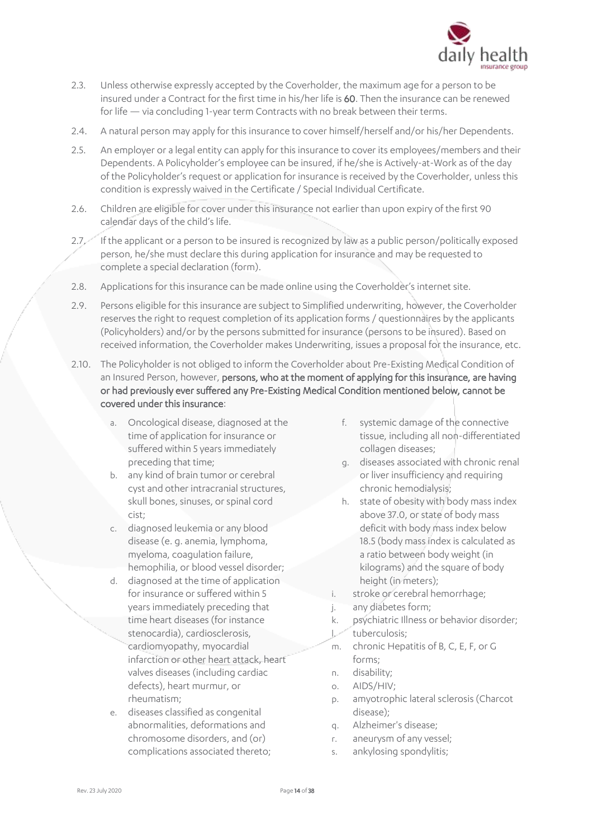

- 2.3. Unless otherwise expressly accepted by the Coverholder, the maximum age for a person to be insured under a Contract for the first time in his/her life is 60. Then the insurance can be renewed for life — via concluding 1-year term Contracts with no break between their terms.
- 2.4. A natural person may apply for this insurance to cover himself/herself and/or his/her Dependents.
- 2.5. An employer or a legal entity can apply for this insurance to cover its employees/members and their Dependents. A Policyholder's employee can be insured, if he/she is Actively-at-Work as of the day of the Policyholder's request or application for insurance is received by the Coverholder, unless this condition is expressly waived in the Certificate / Special Individual Certificate.
- 2.6. Children are eligible for cover under this insurance not earlier than upon expiry of the first 90 calendar days of the child's life.
- 2.7. If the applicant or a person to be insured is recognized by law as a public person/politically exposed person, he/she must declare this during application for insurance and may be requested to complete a special declaration (form).
- 2.8. Applications for this insurance can be made online using the Coverholder's internet site.
- 2.9. Persons eligible for this insurance are subject to Simplified underwriting, however, the Coverholder reserves the right to request completion of its application forms / questionnaires by the applicants (Policyholders) and/or by the persons submitted for insurance (persons to be insured). Based on received information, the Coverholder makes Underwriting, issues a proposal for the insurance, etc.
- 2.10. The Policyholder is not obliged to inform the Coverholder about Pre-Existing Medical Condition of an Insured Person, however, persons, who at the moment of applying for this insurance, are having or had previously ever suffered any Pre-Existing Medical Condition mentioned below, cannot be covered under this insurance:
	- a. Oncological disease, diagnosed at the time of application for insurance or suffered within 5 years immediately preceding that time;
	- b. any kind of brain tumor or cerebral cyst and other intracranial structures, skull bones, sinuses, or spinal cord cist;
	- c. diagnosed leukemia or any blood disease (e. g. anemia, lymphoma, myeloma, coagulation failure, hemophilia, or blood vessel disorder;
	- d. diagnosed at the time of application for insurance or suffered within 5 years immediately preceding that time heart diseases (for instance stenocardia), cardiosclerosis, cardiomyopathy, myocardial infarction or other heart attack, heart valves diseases (including cardiac defects), heart murmur, or rheumatism;
	- e. diseases classified as congenital abnormalities, deformations and chromosome disorders, and (or) complications associated thereto;
- f. systemic damage of the connective tissue, including all non-differentiated collagen diseases;
- g. diseases associated with chronic renal or liver insufficiency and requiring chronic hemodialysis;
- h. state of obesity with body mass index above 37.0, or state of body mass deficit with body mass index below 18.5 (body mass index is calculated as a ratio between body weight (in kilograms) and the square of body height (in meters);
- i. stroke or cerebral hemorrhage;
- j. any diabetes form;
- k. psychiatric Illness or behavior disorder;
- l. tuberculosis;
- m. chronic Hepatitis of B, C, E, F, or G forms;
- n. disability;
- o. AIDS/HIV;
- p. amyotrophic lateral sclerosis (Charcot disease);
- q. Alzheimer's disease;
- r. aneurysm of any vessel;
- s. ankylosing spondylitis;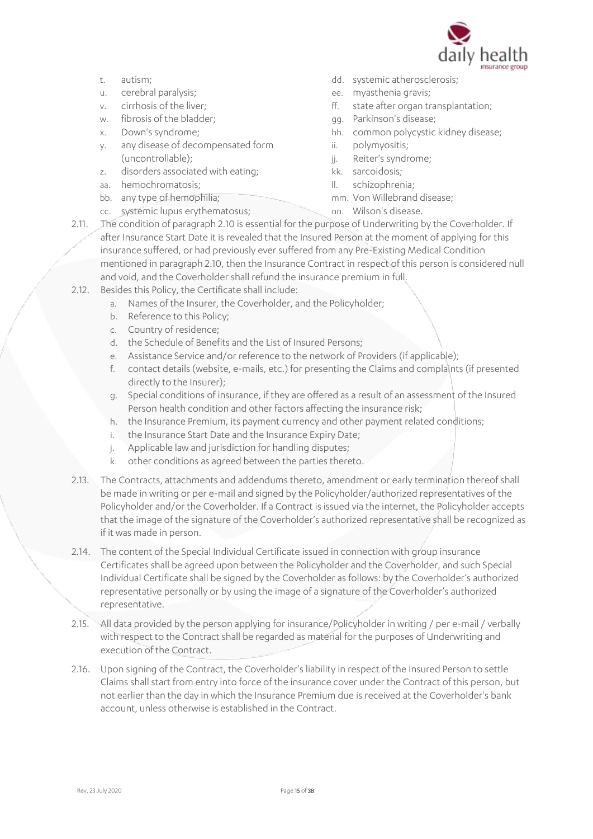

- t. autism;
- u. cerebral paralysis;
- v. cirrhosis of the liver;
- w. fibrosis of the bladder;
- x. Down's syndrome;
- y. any disease of decompensated form (uncontrollable);
- z. disorders associated with eating;
- aa. hemochromatosis;
- bb. any type of hemophilia;
- dd. systemic atherosclerosis;
- ee. myasthenia gravis;
- ff. state after organ transplantation;
- gg. Parkinson's disease;
- hh. common polycystic kidney disease;
- ii. polymyositis;
- jj. Reiter's syndrome;
- kk. sarcoidosis;
- ll. schizophrenia;
- mm. Von Willebrand disease;
- cc. systemic lupus erythematosus;
- nn. Wilson's disease.
- 2.11. The condition of paragraph 2.10 is essential for the purpose of Underwriting by the Coverholder. If after Insurance Start Date it is revealed that the Insured Person at the moment of applying for this insurance suffered, or had previously ever suffered from any Pre-Existing Medical Condition mentioned in paragraph 2.10, then the Insurance Contract in respect of this person is considered null and void, and the Coverholder shall refund the insurance premium in full.
- 2.12. Besides this Policy, the Certificate shall include:
	- a. Names of the Insurer, the Coverholder, and the Policyholder;
	- b. Reference to this Policy;
	- c. Country of residence;
	- d. the Schedule of Benefits and the List of Insured Persons;
	- e. Assistance Service and/or reference to the network of Providers (if applicable);
	- f. contact details (website, e-mails, etc.) for presenting the Claims and complaints (if presented directly to the Insurer);
	- g. Special conditions of insurance, if they are offered as a result of an assessment of the Insured Person health condition and other factors affecting the insurance risk;
	- h. the Insurance Premium, its payment currency and other payment related conditions;
	- i. the Insurance Start Date and the Insurance Expiry Date;
	- j. Applicable law and jurisdiction for handling disputes;
	- k. other conditions as agreed between the parties thereto.
- 2.13. The Contracts, attachments and addendums thereto, amendment or early termination thereof shall be made in writing or per e-mail and signed by the Policyholder/authorized representatives of the Policyholder and/or the Coverholder. If a Contract is issued via the internet, the Policyholder accepts that the image of the signature of the Coverholder's authorized representative shall be recognized as if it was made in person.
- 2.14. The content of the Special Individual Certificate issued in connection with group insurance Certificates shall be agreed upon between the Policyholder and the Coverholder, and such Special Individual Certificate shall be signed by the Coverholder as follows: by the Coverholder's authorized representative personally or by using the image of a signature of the Coverholder's authorized representative.
- 2.15. All data provided by the person applying for insurance/Policyholder in writing / per e-mail / verbally with respect to the Contract shall be regarded as material for the purposes of Underwriting and execution of the Contract.
- 2.16. Upon signing of the Contract, the Coverholder's liability in respect of the Insured Person to settle Claims shall start from entry into force of the insurance cover under the Contract of this person, but not earlier than the day in which the Insurance Premium due is received at the Coverholder's bank account, unless otherwise is established in the Contract.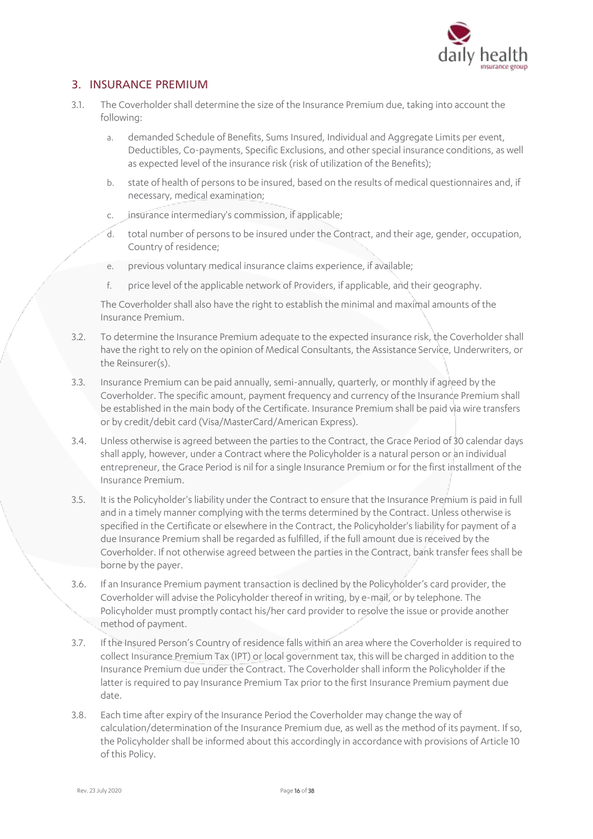

## 3. INSURANCE PREMIUM

- 3.1. The Coverholder shall determine the size of the Insurance Premium due, taking into account the following:
	- a. demanded Schedule of Benefits, Sums Insured, Individual and Aggregate Limits per event, Deductibles, Co-payments, Specific Exclusions, and other special insurance conditions, as well as expected level of the insurance risk (risk of utilization of the Benefits);
	- b. state of health of persons to be insured, based on the results of medical questionnaires and, if necessary, medical examination;
	- c. insurance intermediary's commission, if applicable;
	- d. total number of persons to be insured under the Contract, and their age, gender, occupation, Country of residence;
	- e. previous voluntary medical insurance claims experience, if available;
	- f. price level of the applicable network of Providers, if applicable, and their geography.

The Coverholder shall also have the right to establish the minimal and maximal amounts of the Insurance Premium.

- 3.2. To determine the Insurance Premium adequate to the expected insurance risk, the Coverholder shall have the right to rely on the opinion of Medical Consultants, the Assistance Service, Underwriters, or the Reinsurer(s).
- 3.3. Insurance Premium can be paid annually, semi-annually, quarterly, or monthly if agreed by the Coverholder. The specific amount, payment frequency and currency of the Insurance Premium shall be established in the main body of the Certificate. Insurance Premium shall be paid via wire transfers or by credit/debit card (Visa/MasterCard/American Express).
- 3.4. Unless otherwise is agreed between the parties to the Contract, the Grace Period of 30 calendar days shall apply, however, under a Contract where the Policyholder is a natural person or an individual entrepreneur, the Grace Period is nil for a single Insurance Premium or for the first installment of the Insurance Premium.
- 3.5. It is the Policyholder's liability under the Contract to ensure that the Insurance Premium is paid in full and in a timely manner complying with the terms determined by the Contract. Unless otherwise is specified in the Certificate or elsewhere in the Contract, the Policyholder's liability for payment of a due Insurance Premium shall be regarded as fulfilled, if the full amount due is received by the Coverholder. If not otherwise agreed between the parties in the Contract, bank transfer fees shall be borne by the payer.
- 3.6. If an Insurance Premium payment transaction is declined by the Policyholder's card provider, the Coverholder will advise the Policyholder thereof in writing, by e-mail, or by telephone. The Policyholder must promptly contact his/her card provider to resolve the issue or provide another method of payment.
- 3.7. If the Insured Person's Country of residence falls within an area where the Coverholder is required to collect Insurance Premium Tax (IPT) or local government tax, this will be charged in addition to the Insurance Premium due under the Contract. The Coverholder shall inform the Policyholder if the latter is required to pay Insurance Premium Tax prior to the first Insurance Premium payment due date.
- 3.8. Each time after expiry of the Insurance Period the Coverholder may change the way of calculation/determination of the Insurance Premium due, as well as the method of its payment. If so, the Policyholder shall be informed about this accordingly in accordance with provisions of Article 10 of this Policy.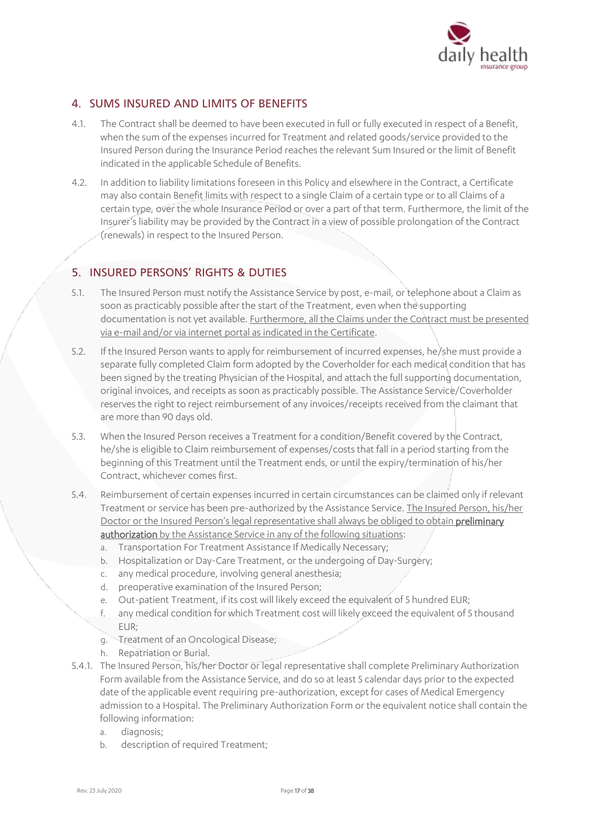

## 4. SUMS INSURED AND LIMITS OF BENEFITS

- 4.1. The Contract shall be deemed to have been executed in full or fully executed in respect of a Benefit, when the sum of the expenses incurred for Treatment and related goods/service provided to the Insured Person during the Insurance Period reaches the relevant Sum Insured or the limit of Benefit indicated in the applicable Schedule of Benefits.
- 4.2. In addition to liability limitations foreseen in this Policy and elsewhere in the Contract, a Certificate may also contain Benefit limits with respect to a single Claim of a certain type or to all Claims of a certain type, over the whole Insurance Period or over a part of that term. Furthermore, the limit of the Insurer's liability may be provided by the Contract in a view of possible prolongation of the Contract (renewals) in respect to the Insured Person.

## 5. INSURED PERSONS' RIGHTS & DUTIES

- 5.1. The Insured Person must notify the Assistance Service by post, e-mail, or telephone about a Claim as soon as practicably possible after the start of the Treatment, even when the supporting documentation is not yet available. Furthermore, all the Claims under the Contract must be presented via e-mail and/or via internet portal as indicated in the Certificate.
- 5.2. If the Insured Person wants to apply for reimbursement of incurred expenses, he/she must provide a separate fully completed Claim form adopted by the Coverholder for each medical condition that has been signed by the treating Physician of the Hospital, and attach the full supporting documentation, original invoices, and receipts as soon as practicably possible. The Assistance Service/Coverholder reserves the right to reject reimbursement of any invoices/receipts received from the claimant that are more than 90 days old.
- 5.3. When the Insured Person receives a Treatment for a condition/Benefit covered by the Contract, he/she is eligible to Claim reimbursement of expenses/costs that fall in a period starting from the beginning of this Treatment until the Treatment ends, or until the expiry/termination of his/her Contract, whichever comes first.
- 5.4. Reimbursement of certain expenses incurred in certain circumstances can be claimed only if relevant Treatment or service has been pre-authorized by the Assistance Service. The Insured Person, his/her Doctor or the Insured Person's legal representative shall always be obliged to obtain preliminary authorization by the Assistance Service in any of the following situations:
	- a. Transportation For Treatment Assistance If Medically Necessary;
	- b. Hospitalization or Day-Care Treatment, or the undergoing of Day-Surgery;
	- c. any medical procedure, involving general anesthesia;
	- d. preoperative examination of the Insured Person;
	- e. Out-patient Treatment, if its cost will likely exceed the equivalent of 5 hundred EUR;
	- f. any medical condition for which Treatment cost will likely exceed the equivalent of 5 thousand EUR;
	- g. Treatment of an Oncological Disease;
	- h. Repatriation or Burial.
- 5.4.1. The Insured Person, his/her Doctor or legal representative shall complete Preliminary Authorization Form available from the Assistance Service, and do so at least 5 calendar days prior to the expected date of the applicable event requiring pre-authorization, except for cases of Medical Emergency admission to a Hospital. The Preliminary Authorization Form or the equivalent notice shall contain the following information:
	- a. diagnosis;
	- b. description of required Treatment;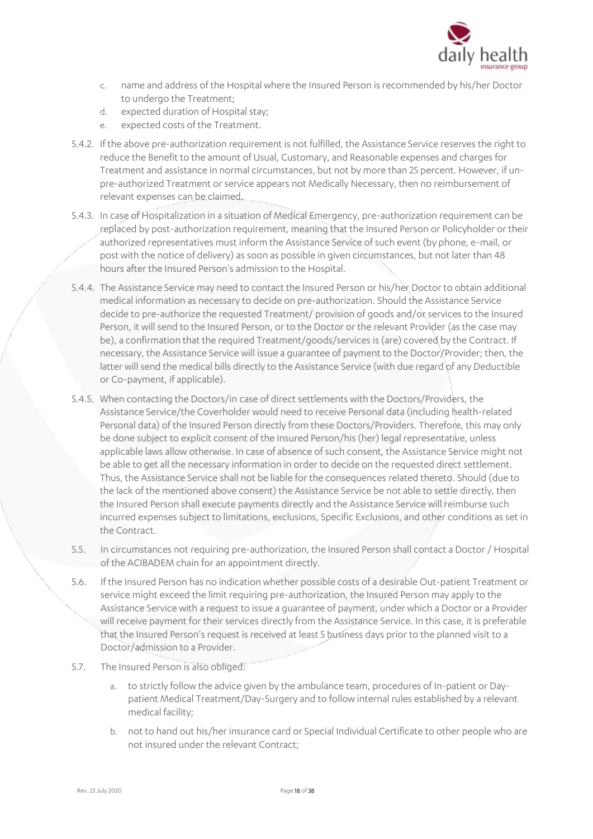

- c. name and address of the Hospital where the Insured Person is recommended by his/her Doctor to undergo the Treatment;
- d. expected duration of Hospital stay;
- e. expected costs of the Treatment.
- 5.4.2. If the above pre-authorization requirement is not fulfilled, the Assistance Service reserves the right to reduce the Benefit to the amount of Usual, Customary, and Reasonable expenses and charges for Treatment and assistance in normal circumstances, but not by more than 25 percent. However, if unpre-authorized Treatment or service appears not Medically Necessary, then no reimbursement of relevant expenses can be claimed.
- 5.4.3. In case of Hospitalization in a situation of Medical Emergency, pre-authorization requirement can be replaced by post-authorization requirement, meaning that the Insured Person or Policyholder or their authorized representatives must inform the Assistance Service of such event (by phone, e-mail, or post with the notice of delivery) as soon as possible in given circumstances, but not later than 48 hours after the Insured Person's admission to the Hospital.
- 5.4.4. The Assistance Service may need to contact the Insured Person or his/her Doctor to obtain additional medical information as necessary to decide on pre-authorization. Should the Assistance Service decide to pre-authorize the requested Treatment/ provision of goods and/or services to the Insured Person, it will send to the Insured Person, or to the Doctor or the relevant Provider (as the case may be), a confirmation that the required Treatment/goods/services is (are) covered by the Contract. If necessary, the Assistance Service will issue a guarantee of payment to the Doctor/Provider; then, the latter will send the medical bills directly to the Assistance Service (with due regard of any Deductible or Co-payment, if applicable).
- 5.4.5. When contacting the Doctors/in case of direct settlements with the Doctors/Providers, the Assistance Service/the Coverholder would need to receive Personal data (including health-related Personal data) of the Insured Person directly from these Doctors/Providers. Therefore, this may only be done subject to explicit consent of the Insured Person/his (her) legal representative, unless applicable laws allow otherwise. In case of absence of such consent, the Assistance Service might not be able to get all the necessary information in order to decide on the requested direct settlement. Thus, the Assistance Service shall not be liable for the consequences related thereto. Should (due to the lack of the mentioned above consent) the Assistance Service be not able to settle directly, then the Insured Person shall execute payments directly and the Assistance Service will reimburse such incurred expenses subject to limitations, exclusions, Specific Exclusions, and other conditions as set in the Contract.
- 5.5. In circumstances not requiring pre-authorization, the Insured Person shall contact a Doctor / Hospital of the ACIBADEM chain for an appointment directly.
- 5.6. If the Insured Person has no indication whether possible costs of a desirable Out-patient Treatment or service might exceed the limit requiring pre-authorization, the Insured Person may apply to the Assistance Service with a request to issue a guarantee of payment, under which a Doctor or a Provider will receive payment for their services directly from the Assistance Service. In this case, it is preferable that the Insured Person's request is received at least 5 business days prior to the planned visit to a Doctor/admission to a Provider.
- 5.7. The Insured Person is also obliged:
	- a. to strictly follow the advice given by the ambulance team, procedures of In-patient or Daypatient Medical Treatment/Day-Surgery and to follow internal rules established by a relevant medical facility;
	- b. not to hand out his/her insurance card or Special Individual Certificate to other people who are not insured under the relevant Contract;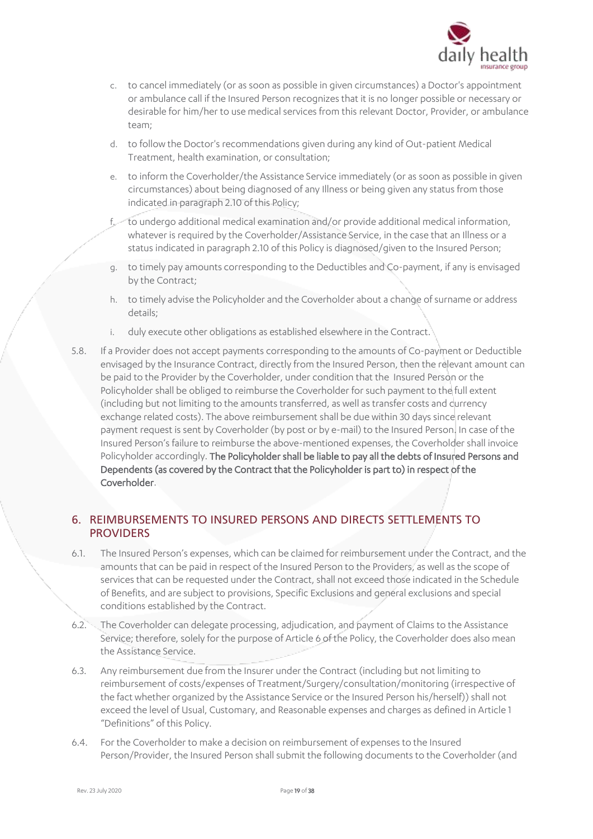

- c. to cancel immediately (or as soon as possible in given circumstances) a Doctor's appointment or ambulance call if the Insured Person recognizes that it is no longer possible or necessary or desirable for him/her to use medical services from this relevant Doctor, Provider, or ambulance team;
- d. to follow the Doctor's recommendations given during any kind of Out-patient Medical Treatment, health examination, or consultation;
- e. to inform the Coverholder/the Assistance Service immediately (or as soon as possible in given circumstances) about being diagnosed of any Illness or being given any status from those indicated in paragraph 2.10 of this Policy;
- f. to undergo additional medical examination and/or provide additional medical information, whatever is required by the Coverholder/Assistance Service, in the case that an Illness or a status indicated in paragraph 2.10 of this Policy is diagnosed/given to the Insured Person;
- g. to timely pay amounts corresponding to the Deductibles and Co-payment, if any is envisaged by the Contract;
- h. to timely advise the Policyholder and the Coverholder about a change of surname or address details;
- i. duly execute other obligations as established elsewhere in the Contract.
- 5.8. If a Provider does not accept payments corresponding to the amounts of Co-payment or Deductible envisaged by the Insurance Contract, directly from the Insured Person, then the relevant amount can be paid to the Provider by the Coverholder, under condition that the Insured Person or the Policyholder shall be obliged to reimburse the Coverholder for such payment to the full extent (including but not limiting to the amounts transferred, as well as transfer costs and currency exchange related costs). The above reimbursement shall be due within 30 days since relevant payment request is sent by Coverholder (by post or by e-mail) to the Insured Person. In case of the Insured Person's failure to reimburse the above-mentioned expenses, the Coverholder shall invoice Policyholder accordingly. The Policyholder shall be liable to pay all the debts of Insured Persons and Dependents (as covered by the Contract that the Policyholder is part to) in respect of the Coverholder.

## 6. REIMBURSEMENTS TO INSURED PERSONS AND DIRECTS SETTLEMENTS TO **PROVIDERS**

- 6.1. The Insured Person's expenses, which can be claimed for reimbursement under the Contract, and the amounts that can be paid in respect of the Insured Person to the Providers, as well as the scope of services that can be requested under the Contract, shall not exceed those indicated in the Schedule of Benefits, and are subject to provisions, Specific Exclusions and general exclusions and special conditions established by the Contract.
- 6.2. The Coverholder can delegate processing, adjudication, and payment of Claims to the Assistance Service; therefore, solely for the purpose of Article 6 of the Policy, the Coverholder does also mean the Assistance Service.
- 6.3. Any reimbursement due from the Insurer under the Contract (including but not limiting to reimbursement of costs/expenses of Treatment/Surgery/consultation/monitoring (irrespective of the fact whether organized by the Assistance Service or the Insured Person his/herself)) shall not exceed the level of Usual, Customary, and Reasonable expenses and charges as defined in Article 1 "Definitions" of this Policy.
- 6.4. For the Coverholder to make a decision on reimbursement of expenses to the Insured Person/Provider, the Insured Person shall submit the following documents to the Coverholder (and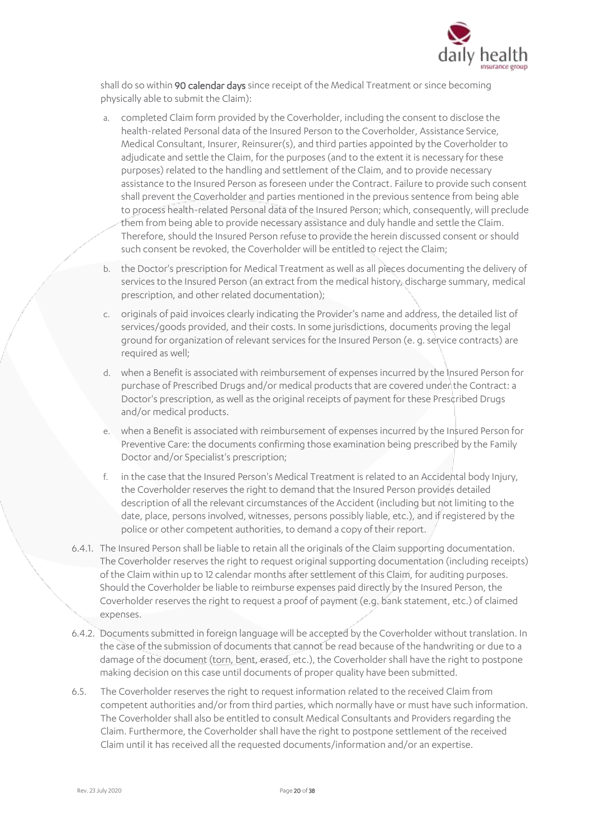

shall do so within 90 calendar days since receipt of the Medical Treatment or since becoming physically able to submit the Claim):

- a. completed Claim form provided by the Coverholder, including the consent to disclose the health-related Personal data of the Insured Person to the Coverholder, Assistance Service, Medical Consultant, Insurer, Reinsurer(s), and third parties appointed by the Coverholder to adjudicate and settle the Claim, for the purposes (and to the extent it is necessary for these purposes) related to the handling and settlement of the Claim, and to provide necessary assistance to the Insured Person as foreseen under the Contract. Failure to provide such consent shall prevent the Coverholder and parties mentioned in the previous sentence from being able to process health-related Personal data of the Insured Person; which, consequently, will preclude them from being able to provide necessary assistance and duly handle and settle the Claim. Therefore, should the Insured Person refuse to provide the herein discussed consent or should such consent be revoked, the Coverholder will be entitled to reject the Claim;
- b. the Doctor's prescription for Medical Treatment as well as all pieces documenting the delivery of services to the Insured Person (an extract from the medical history, discharge summary, medical prescription, and other related documentation);
- c. originals of paid invoices clearly indicating the Provider's name and address, the detailed list of services/goods provided, and their costs. In some jurisdictions, documents proving the legal ground for organization of relevant services for the Insured Person (e. g. service contracts) are required as well;
- d. when a Benefit is associated with reimbursement of expenses incurred by the Insured Person for purchase of Prescribed Drugs and/or medical products that are covered under the Contract: a Doctor's prescription, as well as the original receipts of payment for these Prescribed Drugs and/or medical products.
- e. when a Benefit is associated with reimbursement of expenses incurred by the Insured Person for Preventive Care: the documents confirming those examination being prescribed by the Family Doctor and/or Specialist's prescription;
- in the case that the Insured Person's Medical Treatment is related to an Accidental body Injury, the Coverholder reserves the right to demand that the Insured Person provides detailed description of all the relevant circumstances of the Accident (including but not limiting to the date, place, persons involved, witnesses, persons possibly liable, etc.), and if registered by the police or other competent authorities, to demand a copy of their report.
- 6.4.1. The Insured Person shall be liable to retain all the originals of the Claim supporting documentation. The Coverholder reserves the right to request original supporting documentation (including receipts) of the Claim within up to 12 calendar months after settlement of this Claim, for auditing purposes. Should the Coverholder be liable to reimburse expenses paid directly by the Insured Person, the Coverholder reserves the right to request a proof of payment (e.g. bank statement, etc.) of claimed expenses.
- 6.4.2. Documents submitted in foreign language will be accepted by the Coverholder without translation. In the case of the submission of documents that cannot be read because of the handwriting or due to a damage of the document (torn, bent, erased, etc.), the Coverholder shall have the right to postpone making decision on this case until documents of proper quality have been submitted.
- 6.5. The Coverholder reserves the right to request information related to the received Claim from competent authorities and/or from third parties, which normally have or must have such information. The Coverholder shall also be entitled to consult Medical Consultants and Providers regarding the Claim. Furthermore, the Coverholder shall have the right to postpone settlement of the received Claim until it has received all the requested documents/information and/or an expertise.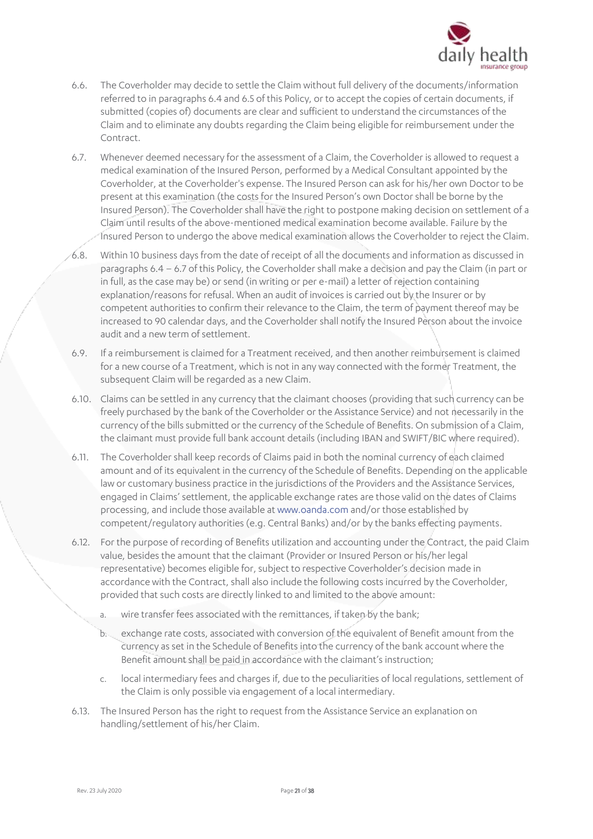

- 6.6. The Coverholder may decide to settle the Claim without full delivery of the documents/information referred to in paragraphs 6.4 and 6.5 of this Policy, or to accept the copies of certain documents, if submitted (copies of) documents are clear and sufficient to understand the circumstances of the Claim and to eliminate any doubts regarding the Claim being eligible for reimbursement under the Contract.
- 6.7. Whenever deemed necessary for the assessment of a Claim, the Coverholder is allowed to request a medical examination of the Insured Person, performed by a Medical Consultant appointed by the Coverholder, at the Coverholder's expense. The Insured Person can ask for his/her own Doctor to be present at this examination (the costs for the Insured Person's own Doctor shall be borne by the Insured Person). The Coverholder shall have the right to postpone making decision on settlement of a Claim until results of the above-mentioned medical examination become available. Failure by the Insured Person to undergo the above medical examination allows the Coverholder to reject the Claim.
- 6.8. Within 10 business days from the date of receipt of all the documents and information as discussed in paragraphs 6.4 – 6.7 of this Policy, the Coverholder shall make a decision and pay the Claim (in part or in full, as the case may be) or send (in writing or per e-mail) a letter of rejection containing explanation/reasons for refusal. When an audit of invoices is carried out by the Insurer or by competent authorities to confirm their relevance to the Claim, the term of payment thereof may be increased to 90 calendar days, and the Coverholder shall notify the Insured Person about the invoice audit and a new term of settlement.
- 6.9. If a reimbursement is claimed for a Treatment received, and then another reimbursement is claimed for a new course of a Treatment, which is not in any way connected with the former Treatment, the subsequent Claim will be regarded as a new Claim.
- 6.10. Claims can be settled in any currency that the claimant chooses (providing that such currency can be freely purchased by the bank of the Coverholder or the Assistance Service) and not necessarily in the currency of the bills submitted or the currency of the Schedule of Benefits. On submission of a Claim, the claimant must provide full bank account details (including IBAN and SWIFT/BIC where required).
- 6.11. The Coverholder shall keep records of Claims paid in both the nominal currency of each claimed amount and of its equivalent in the currency of the Schedule of Benefits. Depending on the applicable law or customary business practice in the jurisdictions of the Providers and the Assistance Services, engaged in Claims' settlement, the applicable exchange rates are those valid on the dates of Claims processing, and include those available a[t www.oanda.com](http://www.oanda.com/) and/or those established by competent/regulatory authorities (e.g. Central Banks) and/or by the banks effecting payments.
- 6.12. For the purpose of recording of Benefits utilization and accounting under the Contract, the paid Claim value, besides the amount that the claimant (Provider or Insured Person or his/her legal representative) becomes eligible for, subject to respective Coverholder's decision made in accordance with the Contract, shall also include the following costs incurred by the Coverholder, provided that such costs are directly linked to and limited to the above amount:
	- a. wire transfer fees associated with the remittances, if taken by the bank;
	- b. exchange rate costs, associated with conversion of the equivalent of Benefit amount from the currency as set in the Schedule of Benefits into the currency of the bank account where the Benefit amount shall be paid in accordance with the claimant's instruction;
	- c. local intermediary fees and charges if, due to the peculiarities of local regulations, settlement of the Claim is only possible via engagement of a local intermediary.
- 6.13. The Insured Person has the right to request from the Assistance Service an explanation on handling/settlement of his/her Claim.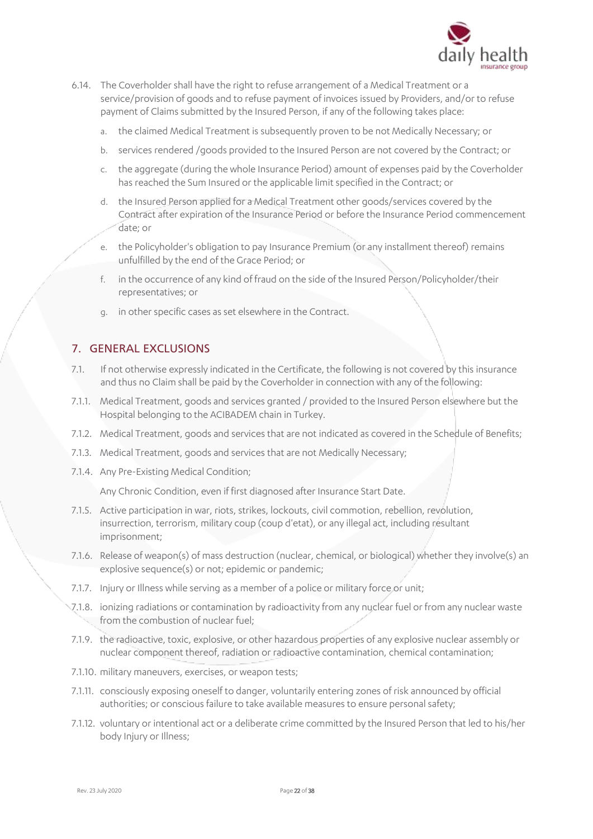

- 6.14. The Coverholder shall have the right to refuse arrangement of a Medical Treatment or a service/provision of goods and to refuse payment of invoices issued by Providers, and/or to refuse payment of Claims submitted by the Insured Person, if any of the following takes place:
	- a. the claimed Medical Treatment is subsequently proven to be not Medically Necessary; or
	- b. services rendered /goods provided to the Insured Person are not covered by the Contract; or
	- c. the aggregate (during the whole Insurance Period) amount of expenses paid by the Coverholder has reached the Sum Insured or the applicable limit specified in the Contract; or
	- d. the Insured Person applied for a Medical Treatment other goods/services covered by the Contract after expiration of the Insurance Period or before the Insurance Period commencement date; or
	- e. the Policyholder's obligation to pay Insurance Premium (or any installment thereof) remains unfulfilled by the end of the Grace Period; or
	- f. in the occurrence of any kind of fraud on the side of the Insured Person/Policyholder/their representatives; or
	- g. in other specific cases as set elsewhere in the Contract.

## 7. GENERAL EXCLUSIONS

- 7.1. If not otherwise expressly indicated in the Certificate, the following is not covered by this insurance and thus no Claim shall be paid by the Coverholder in connection with any of the following:
- 7.1.1. Medical Treatment, goods and services granted / provided to the Insured Person elsewhere but the Hospital belonging to the ACIBADEM chain in Turkey.
- 7.1.2. Medical Treatment, goods and services that are not indicated as covered in the Schedule of Benefits;
- 7.1.3. Medical Treatment, goods and services that are not Medically Necessary;
- 7.1.4. Any Pre-Existing Medical Condition;

Any Chronic Condition, even if first diagnosed after Insurance Start Date.

- 7.1.5. Active participation in war, riots, strikes, lockouts, civil commotion, rebellion, revolution, insurrection, terrorism, military coup (coup d'etat), or any illegal act, including resultant imprisonment;
- 7.1.6. Release of weapon(s) of mass destruction (nuclear, chemical, or biological) whether they involve(s) an explosive sequence(s) or not; epidemic or pandemic;
- 7.1.7. Injury or Illness while serving as a member of a police or military force or unit;
- 7.1.8. ionizing radiations or contamination by radioactivity from any nuclear fuel or from any nuclear waste from the combustion of nuclear fuel:
- 7.1.9. the radioactive, toxic, explosive, or other hazardous properties of any explosive nuclear assembly or nuclear component thereof, radiation or radioactive contamination, chemical contamination;
- 7.1.10. military maneuvers, exercises, or weapon tests;
- 7.1.11. consciously exposing oneself to danger, voluntarily entering zones of risk announced by official authorities; or conscious failure to take available measures to ensure personal safety;
- 7.1.12. voluntary or intentional act or a deliberate crime committed by the Insured Person that led to his/her body Injury or Illness;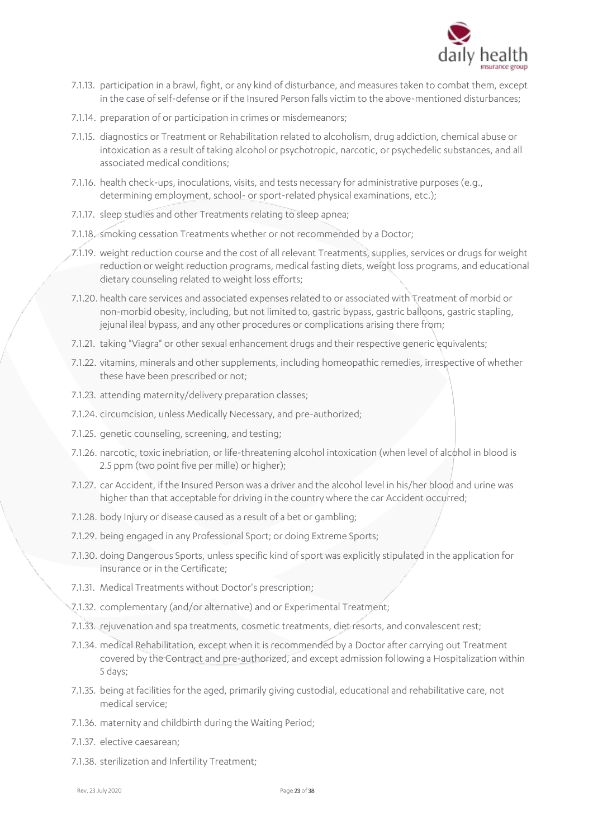

- 7.1.13. participation in a brawl, fight, or any kind of disturbance, and measures taken to combat them, except in the case of self-defense or if the Insured Person falls victim to the above-mentioned disturbances;
- 7.1.14. preparation of or participation in crimes or misdemeanors;
- 7.1.15. diagnostics or Treatment or Rehabilitation related to alcoholism, drug addiction, chemical abuse or intoxication as a result of taking alcohol or psychotropic, narcotic, or psychedelic substances, and all associated medical conditions;
- 7.1.16. health check-ups, inoculations, visits, and tests necessary for administrative purposes (e.g., determining employment, school- or sport-related physical examinations, etc.);
- 7.1.17. sleep studies and other Treatments relating to sleep apnea;
- 7.1.18. smoking cessation Treatments whether or not recommended by a Doctor;
- 7.1.19. weight reduction course and the cost of all relevant Treatments, supplies, services or drugs for weight reduction or weight reduction programs, medical fasting diets, weight loss programs, and educational dietary counseling related to weight loss efforts;
- 7.1.20. health care services and associated expenses related to or associated with Treatment of morbid or non-morbid obesity, including, but not limited to, gastric bypass, gastric balloons, gastric stapling, jejunal ileal bypass, and any other procedures or complications arising there from;
- 7.1.21. taking "Viagra" or other sexual enhancement drugs and their respective generic equivalents;
- 7.1.22. vitamins, minerals and other supplements, including homeopathic remedies, irrespective of whether these have been prescribed or not;
- 7.1.23. attending maternity/delivery preparation classes;
- 7.1.24. circumcision, unless Medically Necessary, and pre-authorized;
- 7.1.25. genetic counseling, screening, and testing;
- 7.1.26. narcotic, toxic inebriation, or life-threatening alcohol intoxication (when level of alcohol in blood is 2.5 ppm (two point five per mille) or higher);
- 7.1.27. car Accident, if the Insured Person was a driver and the alcohol level in his/her blood and urine was higher than that acceptable for driving in the country where the car Accident occurred;
- 7.1.28. body Injury or disease caused as a result of a bet or gambling;
- 7.1.29. being engaged in any Professional Sport; or doing Extreme Sports;
- 7.1.30. doing Dangerous Sports, unless specific kind of sport was explicitly stipulated in the application for insurance or in the Certificate;
- 7.1.31. Medical Treatments without Doctor's prescription;
- 7.1.32. complementary (and/or alternative) and or Experimental Treatment;
- 7.1.33. rejuvenation and spa treatments, cosmetic treatments, diet resorts, and convalescent rest;
- 7.1.34. medical Rehabilitation, except when it is recommended by a Doctor after carrying out Treatment covered by the Contract and pre-authorized, and except admission following a Hospitalization within 5 days;
- 7.1.35. being at facilities for the aged, primarily giving custodial, educational and rehabilitative care, not medical service;
- 7.1.36. maternity and childbirth during the Waiting Period;
- 7.1.37. elective caesarean;
- 7.1.38. sterilization and Infertility Treatment;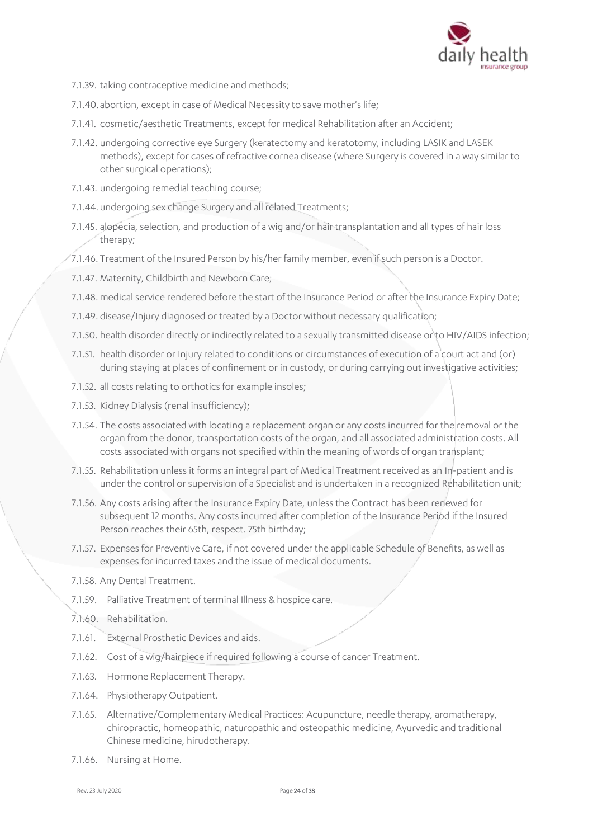

- 7.1.39. taking contraceptive medicine and methods;
- 7.1.40.abortion, except in case of Medical Necessity to save mother's life;
- 7.1.41. cosmetic/aesthetic Treatments, except for medical Rehabilitation after an Accident;
- 7.1.42. undergoing corrective eye Surgery (keratectomy and keratotomy, including LASIK and LASEK methods), except for cases of refractive cornea disease (where Surgery is covered in a way similar to other surgical operations);
- 7.1.43. undergoing remedial teaching course;
- 7.1.44.undergoing sex change Surgery and all related Treatments;
- 7.1.45. alopecia, selection, and production of a wig and/or hair transplantation and all types of hair loss therapy;
- 7.1.46. Treatment of the Insured Person by his/her family member, even if such person is a Doctor.
- 7.1.47. Maternity, Childbirth and Newborn Care;
- 7.1.48. medical service rendered before the start of the Insurance Period or after the Insurance Expiry Date;
- 7.1.49. disease/Injury diagnosed or treated by a Doctor without necessary qualification;
- 7.1.50. health disorder directly or indirectly related to a sexually transmitted disease or to HIV/AIDS infection;
- 7.1.51. health disorder or Injury related to conditions or circumstances of execution of a court act and (or) during staying at places of confinement or in custody, or during carrying out investigative activities;
- 7.1.52. all costs relating to orthotics for example insoles;
- 7.1.53. Kidney Dialysis (renal insufficiency);
- 7.1.54. The costs associated with locating a replacement organ or any costs incurred for the removal or the organ from the donor, transportation costs of the organ, and all associated administration costs. All costs associated with organs not specified within the meaning of words of organ transplant;
- 7.1.55. Rehabilitation unless it forms an integral part of Medical Treatment received as an In-patient and is under the control or supervision of a Specialist and is undertaken in a recognized Rehabilitation unit;
- 7.1.56. Any costs arising after the Insurance Expiry Date, unless the Contract has been renewed for subsequent 12 months. Any costs incurred after completion of the Insurance Period if the Insured Person reaches their 65th, respect. 75th birthday;
- 7.1.57. Expenses for Preventive Care, if not covered under the applicable Schedule of Benefits, as well as expenses for incurred taxes and the issue of medical documents.
- 7.1.58. Any Dental Treatment.
- 7.1.59. Palliative Treatment of terminal Illness & hospice care.
- 7.1.60. Rehabilitation.
- 7.1.61. External Prosthetic Devices and aids.
- 7.1.62. Cost of a wig/hairpiece if required following a course of cancer Treatment.
- 7.1.63. Hormone Replacement Therapy.
- 7.1.64. Physiotherapy Outpatient.
- 7.1.65. Alternative/Complementary Medical Practices: Acupuncture, needle therapy, aromatherapy, chiropractic, homeopathic, naturopathic and osteopathic medicine, Ayurvedic and traditional Chinese medicine, hirudotherapy.
- 7.1.66. Nursing at Home.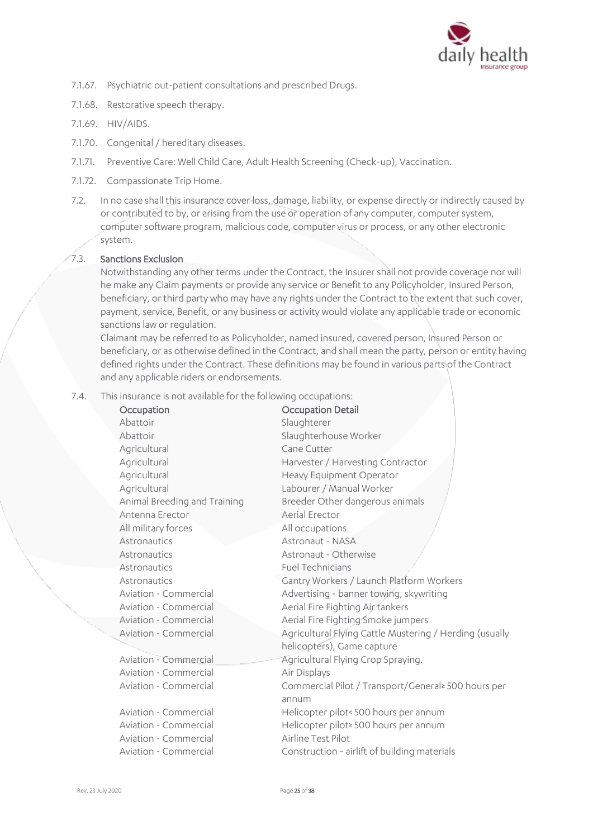

- 7.1.67. Psychiatric out-patient consultations and prescribed Drugs.
- 7.1.68. Restorative speech therapy.
- 7.1.69. HIV/AIDS.
- 7.1.70. Congenital / hereditary diseases.
- 7.1.71. Preventive Care: Well Child Care, Adult Health Screening (Check-up), Vaccination.
- 7.1.72. Compassionate Trip Home.
- 7.2. In no case shall this insurance cover loss, damage, liability, or expense directly or indirectly caused by or contributed to by, or arising from the use or operation of any computer, computer system, computer software program, malicious code, computer virus or process, or any other electronic system.

#### 7.3. Sanctions Exclusion

Notwithstanding any other terms under the Contract, the Insurer shall not provide coverage nor will he make any Claim payments or provide any service or Benefit to any Policyholder, Insured Person, beneficiary, or third party who may have any rights under the Contract to the extent that such cover, payment, service, Benefit, or any business or activity would violate any applicable trade or economic sanctions law or regulation.

Claimant may be referred to as Policyholder, named insured, covered person, Insured Person or beneficiary, or as otherwise defined in the Contract, and shall mean the party, person or entity having defined rights under the Contract. These definitions may be found in various parts of the Contract and any applicable riders or endorsements.

7.4. This insurance is not available for the following occupations:

| Occupation                   | Occupation Detail                                       |
|------------------------------|---------------------------------------------------------|
| Abattoir                     | Slaughterer                                             |
| Abattoir                     | Slaughterhouse Worker                                   |
| Agricultural                 | Cane Cutter                                             |
| Agricultural                 | Harvester / Harvesting Contractor                       |
| Agricultural                 | Heavy Equipment Operator                                |
| Agricultural                 | Labourer / Manual Worker                                |
| Animal Breeding and Training | Breeder Other dangerous animals                         |
| Antenna Erector              | Aerial Erector                                          |
| All military forces          | All occupations                                         |
| Astronautics                 | Astronaut - NASA                                        |
| Astronautics                 | Astronaut - Otherwise                                   |
| Astronautics                 | <b>Fuel Technicians</b>                                 |
| Astronautics                 | Gantry Workers / Launch Platform Workers                |
| Aviation - Commercial        | Advertising - banner towing, skywriting                 |
| Aviation - Commercial        | Aerial Fire Fighting Air tankers                        |
| Aviation - Commercial        | Aerial Fire Fighting Smoke jumpers                      |
| Aviation - Commercial        | Agricultural Flying Cattle Mustering / Herding (usually |
|                              | helicopters), Game capture                              |
| Aviation - Commercial        | Agricultural Flying Crop Spraying.                      |
| Aviation - Commercial        | Air Displays                                            |
| Aviation - Commercial        | Commercial Pilot / Transport/General≥ 500 hours per     |
|                              | annum                                                   |
| Aviation - Commercial        | Helicopter pilot< 500 hours per annum                   |
| Aviation - Commercial        | Helicopter pilot≥ 500 hours per annum                   |
| Aviation - Commercial        | Airline Test Pilot                                      |
| Aviation - Commercial        | Construction - airlift of building materials            |
|                              |                                                         |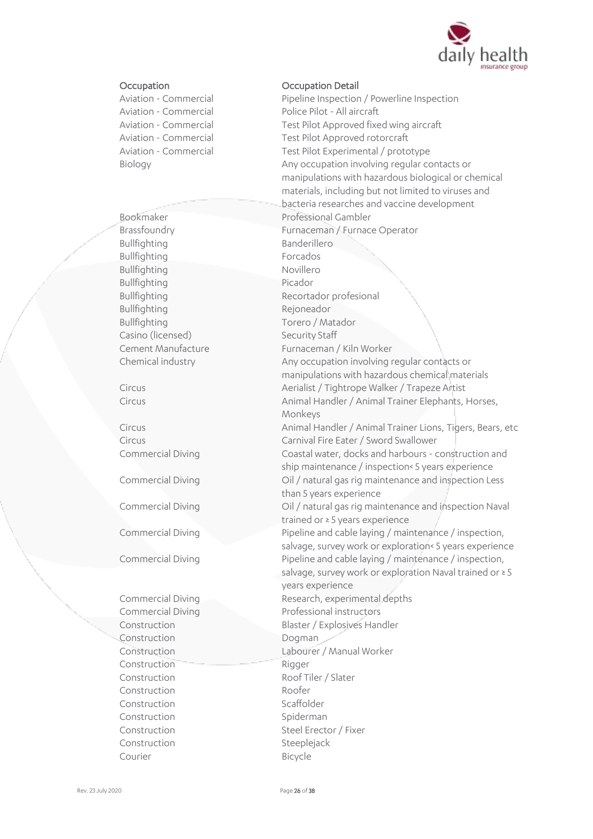

Bullfighting Banderillero<br>Bullfighting Bullfighting Banderillero Bullfighting<br>Bullfighting<br>Bullfighting Bullfighting Bullfighting Picador Bullfighting<br>Bullfighting Rejoneador<br>Torero / Ma Casino (licensed) Security Staff

Construction Dogman Construction Rigger Construction Roofer Construction Scaffolder Construction Spiderman Construction Steeplejack Courier Bicycle

#### Occupation Occupation Detail

Aviation - Commercial Pipeline Inspection / Powerline Inspection Aviation - Commercial Police Pilot - All aircraft Aviation - Commercial Test Pilot Approved fixed wing aircraft<br>Aviation - Commercial Test Pilot Approved rotorcraft Test Pilot Approved rotorcraft Aviation - Commercial Test Pilot Experimental / prototype Biology Any occupation involving regular contacts or manipulations with hazardous biological or chemical materials, including but not limited to viruses and bacteria researches and vaccine development Bookmaker Professional Gambler Brassfoundry Furnaceman / Furnace Operator Bullfighting **Recortador profesional** Torero / Matador Cement Manufacture Furnaceman / Kiln Worker Chemical industry **Any occupation involving regular contacts or** manipulations with hazardous chemical materials Circus Aerialist / Tightrope Walker / Trapeze Artist Circus Circus Animal Handler / Animal Trainer Elephants, Horses, Monkeys Circus Animal Handler / Animal Trainer Lions, Tigers, Bears, etc Circus Carnival Fire Eater / Sword Swallower Commercial Diving Coastal water, docks and harbours - construction and ship maintenance / inspection< 5 years experience Commercial Diving Commercial Oil / natural gas rig maintenance and inspection Less than 5 years experience Commercial Diving Commercial Diving Commercial Diving trained or ≥ 5 years experience Commercial Diving Pipeline and cable laying / maintenance / inspection, salvage, survey work or exploration< 5 years experience Commercial Diving **Pipeline and cable laying / maintenance / inspection,** salvage, survey work or exploration Naval trained or ≥ 5 years experience Commercial Diving **Commercial Diving Commercial Diving Research**, experimental depths Commercial Diving **Commercial Diving Commercial Diving Commercial Diving Commercial Diving Commercial Commercial Commercial Commercial Diving Commercial Diving Commercial Diving Commercial Diving Commercial Diving Commerci** Construction Blaster / Explosives Handler Construction Labourer / Manual Worker Construction Roof Tiler / Slater Construction Steel Erector / Fixer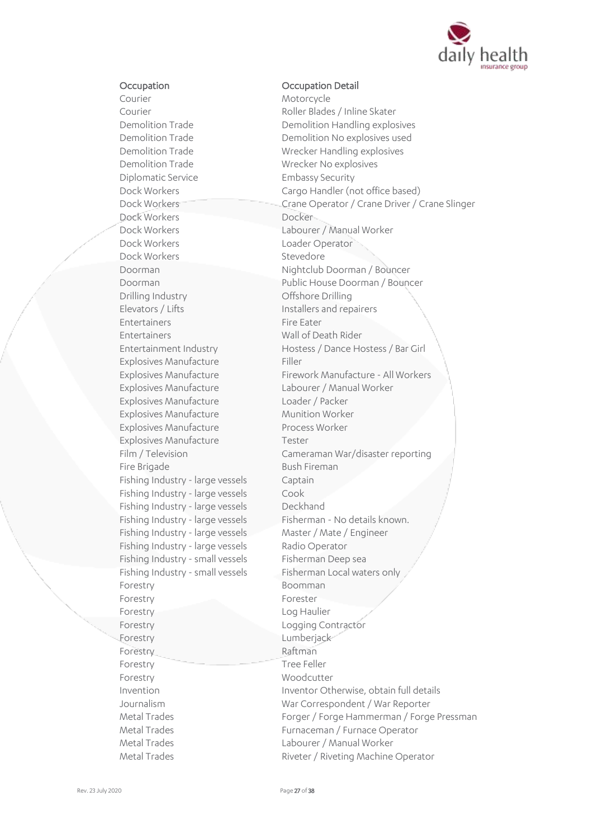

#### Occupation Occupation Detail

Courier Motorcycle Courier **Courier Courier Courier Roller Blades / Inline Skater** Demolition Trade Wrecker No explosives Diplomatic Service Embassy Security Dock Workers Docker Dock Workers Labourer / Manual Worker Dock Workers Executive Contractor Loader Operator<br>
Dock Workers Stevedore Dock Workers Drilling Industry **Offshore Drilling** Elevators / Lifts Installers and repairers<br>
Entertainers
Installers and repairers
Installers and repairers
Installers and repairers
Installers
Installers
Installers
Installers
Installers
Installers
Installers
Installers
In Entertainers Entertainers Wall of Death Rider Explosives Manufacture Filler Explosives Manufacture Labourer / Manual Worker Explosives Manufacture Loader / Packer Explosives Manufacture Munition Worker Explosives Manufacture Process Worker Explosives Manufacture Tester Fire Brigade Bush Fireman Fishing Industry - large vessels Captain Fishing Industry - large vessels Cook<br>Fishing Industry - large vessels Deckhand Fishing Industry - large vessels Fishing Industry - large vessels Master / Mate / Engineer Fishing Industry - large vessels Radio Operator Fishing Industry - small vessels Fisherman Deep sea Forestry Boomman Forestry Forester Forestry Log Haulier Forestry **Logging Contractor** Forestry Lumberjack Forestry **Raftman** Forestry Tree Feller Forestry Woodcutter

Demolition Trade Demolition Handling explosives<br>
Demolition Trade Demolition No explosives used Demolition No explosives used Demolition Trade Wrecker Handling explosives Dock Workers Cargo Handler (not office based)<br>Dock Workers Crane Operator / Crane Driver / ( Crane Operator / Crane Driver / Crane Slinger Doorman Nightclub Doorman / Bouncer Doorman Public House Doorman / Bouncer Entertainment Industry Hostess / Dance Hostess / Bar Girl Explosives Manufacture Firework Manufacture - All Workers Cameraman War/disaster reporting Fishing Industry - large vessels<br>Fishing Industry - large vessels<br>Fisherman - No details known. Fishing Industry - small vessels Fisherman Local waters only Invention Inventor Otherwise, obtain full details Journalism War Correspondent / War Reporter Forger / Forge Hammerman / Forge Pressman Metal Trades Furnaceman / Furnace Operator<br>Metal Trades Metal Trades Labourer / Manual Worker Metal Trades **Riveter / Riveting Machine Operator**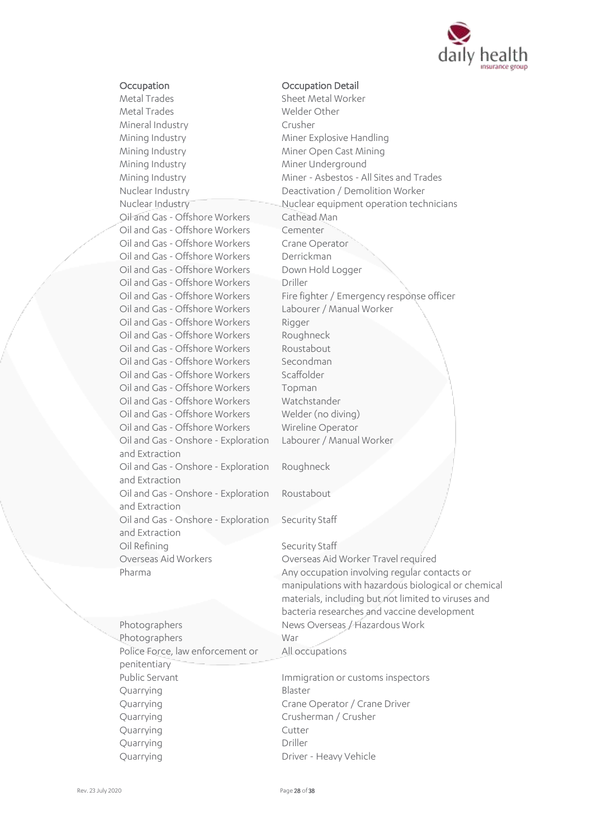

#### Occupation Occupation Detail

Metal Trades Sheet Metal Worker Metal Trades Welder Other Mineral Industry Crusher Mining Industry Miner Explosive Handling Mining Industry Miner Open Cast Mining Mining Industry Miner Underground Nuclear Industry Deactivation / Demolition Worker Oil and Gas - Offshore Workers Cathead Man Oil and Gas - Offshore Workers Cementer Oil and Gas - Offshore Workers Crane Operator<br>Oil and Gas - Offshore Workers Derrickman Oil and Gas - Offshore Workers Oil and Gas - Offshore Workers Down Hold Logger Oil and Gas - Offshore Workers Driller Oil and Gas - Offshore Workers Labourer / Manual Worker Oil and Gas - Offshore Workers Rigger Oil and Gas - Offshore Workers Roughneck<br>
Oil and Gas - Offshore Workers Roustabout Oil and Gas - Offshore Workers Oil and Gas - Offshore Workers Secondman Oil and Gas - Offshore Workers Scaffolder Oil and Gas - Offshore Workers Topman Oil and Gas - Offshore Workers Watchstander Oil and Gas - Offshore Workers Welder (no diving) Oil and Gas - Offshore Workers Wireline Operator Oil and Gas - Onshore - Exploration and Extraction Oil and Gas - Onshore - Exploration and Extraction Oil and Gas - Onshore - Exploration and Extraction Oil and Gas - Onshore - Exploration and Extraction Oil Refining Security Staff Overseas Aid Workers Overseas Aid Worker Travel required

Mining Industry Miner - Asbestos - All Sites and Trades Nuclear Industry Nuclear equipment operation technicians Oil and Gas - Offshore Workers Fire fighter / Emergency response officer Labourer / Manual Worker Roughneck Roustabout Security Staff

Pharma **Any occupation involving regular contacts or** manipulations with hazardous biological or chemical materials, including but not limited to viruses and bacteria researches and vaccine development Photographers News Overseas / Hazardous Work All occupations Public Servant **Immigration or customs inspectors** 

Quarrying **Driver - Heavy Vehicle** 

Photographers War Police Force, law enforcement or penitentiary Quarrying Blaster Quarrying Crane Operator / Crane Driver Quarrying Crusherman / Crusher Quarrying Cutter Quarrying Driller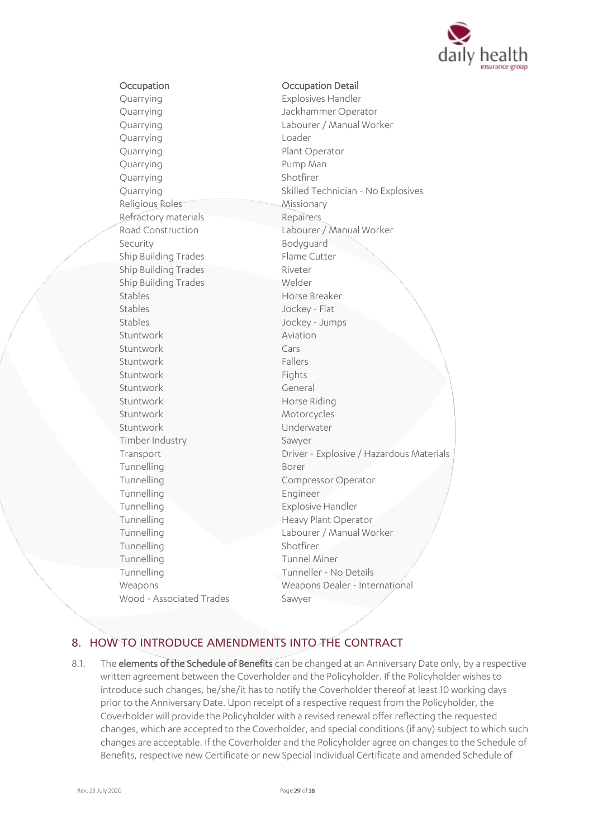

#### Occupation Occupation Detail

Quarrying Explosives Handler Quarrying Jackhammer Operator Quarrying Loader Quarrying Plant Operator Quarrying **Pump Man** Quarrying Shotfirer Religious Roles Missionary Refractory materials Repairers Security<br>
Ship Building Trades<br>
Flame Cutter Ship Building Trades Ship Building Trades Riveter Ship Building Trades Welder Stables Horse Breaker Stables<br>Stables Jockey - Flat<br>Jockey - Jum Stuntwork **Aviation** Stuntwork Cars Stuntwork Fallers Stuntwork Fights Stuntwork General Stuntwork Horse Riding Stuntwork Motorcycles Stuntwork Underwater Timber Industry Sawyer Tunnelling Borer Tunnelling **Compressor Operator** Tunnelling Engineer Tunnelling **Explosive Handler** Tunnelling **Heavy Plant Operator** Tunnelling Shotfirer Tunnelling Tunnel Miner Tunnelling Tunneller - No Details Wood - Associated Trades Sawyer

Quarrying Labourer / Manual Worker Quarrying Skilled Technician - No Explosives Road Construction Labourer / Manual Worker Jockey - Jumps Transport Driver - Explosive / Hazardous Materials Tunnelling Labourer / Manual Worker Weapons Weapons Dealer - International

## 8. HOW TO INTRODUCE AMENDMENTS INTO THE CONTRACT

8.1. The **elements of the Schedule of Benefits** can be changed at an Anniversary Date only, by a respective written agreement between the Coverholder and the Policyholder. If the Policyholder wishes to introduce such changes, he/she/it has to notify the Coverholder thereof at least 10 working days prior to the Anniversary Date. Upon receipt of a respective request from the Policyholder, the Coverholder will provide the Policyholder with a revised renewal offer reflecting the requested changes, which are accepted to the Coverholder, and special conditions (if any) subject to which such changes are acceptable. If the Coverholder and the Policyholder agree on changes to the Schedule of Benefits, respective new Certificate or new Special Individual Certificate and amended Schedule of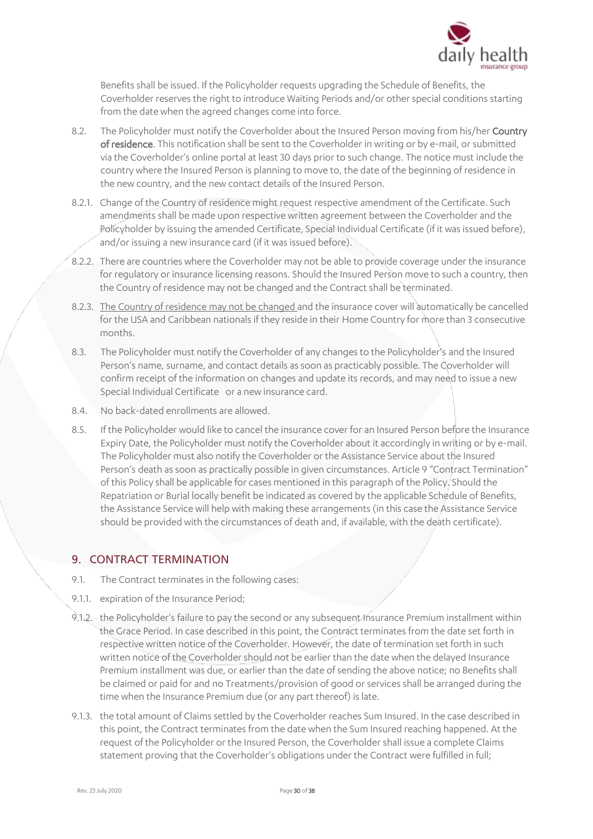

Benefits shall be issued. If the Policyholder requests upgrading the Schedule of Benefits, the Coverholder reserves the right to introduce Waiting Periods and/or other special conditions starting from the date when the agreed changes come into force.

- 8.2. The Policyholder must notify the Coverholder about the Insured Person moving from his/her Country of residence. This notification shall be sent to the Coverholder in writing or by e-mail, or submitted via the Coverholder's online portal at least30 days prior to such change. The notice must include the country where the Insured Person is planning to move to, the date of the beginning of residence in the new country, and the new contact details of the Insured Person.
- 8.2.1. Change of the Country of residence might request respective amendment of the Certificate. Such amendments shall be made upon respective written agreement between the Coverholder and the Policyholder by issuing the amended Certificate, Special Individual Certificate (if it was issued before), and/or issuing a new insurance card (if it was issued before).
- 8.2.2. There are countries where the Coverholder may not be able to provide coverage under the insurance for regulatory or insurance licensing reasons. Should the Insured Person move to such a country, then the Country of residence may not be changed and the Contract shall be terminated.
- 8.2.3. The Country of residence may not be changed and the insurance cover will automatically be cancelled for the USA and Caribbean nationals if they reside in their Home Country for more than 3 consecutive months.
- 8.3. The Policyholder must notify the Coverholder of any changes to the Policyholder's and the Insured Person's name, surname, and contact details as soon as practicably possible. The Coverholder will confirm receipt of the information on changes and update its records, and may need to issue a new Special Individual Certificate or a new insurance card.
- 8.4. No back-dated enrollments are allowed.
- 8.5. If the Policyholder would like to cancel the insurance cover for an Insured Person before the Insurance Expiry Date, the Policyholder must notify the Coverholder about it accordingly in writing or by e-mail. The Policyholder must also notify the Coverholder or the Assistance Service about the Insured Person's death as soon as practically possible in given circumstances. Article 9 "Contract Termination" of this Policy shall be applicable for cases mentioned in this paragraph of the Policy. Should the Repatriation or Burial locally benefit be indicated as covered by the applicable Schedule of Benefits, the Assistance Service will help with making these arrangements (in this case the Assistance Service should be provided with the circumstances of death and, if available, with the death certificate).

## 9. CONTRACT TERMINATION

- 9.1. The Contract terminates in the following cases:
- 9.1.1. expiration of the Insurance Period;
- 9.1.2. the Policyholder's failure to pay the second or any subsequent Insurance Premium installment within the Grace Period. In case described in this point, the Contract terminates from the date set forth in respective written notice of the Coverholder. However, the date of termination set forth in such written notice of the Coverholder should not be earlier than the date when the delayed Insurance Premium installment was due, or earlier than the date of sending the above notice; no Benefits shall be claimed or paid for and no Treatments/provision of good or services shall be arranged during the time when the Insurance Premium due (or any part thereof) is late.
- 9.1.3. the total amount of Claims settled by the Coverholder reaches Sum Insured. In the case described in this point, the Contract terminates from the date when the Sum Insured reaching happened. At the request of the Policyholder or the Insured Person, the Coverholder shall issue a complete Claims statement proving that the Coverholder's obligations under the Contract were fulfilled in full;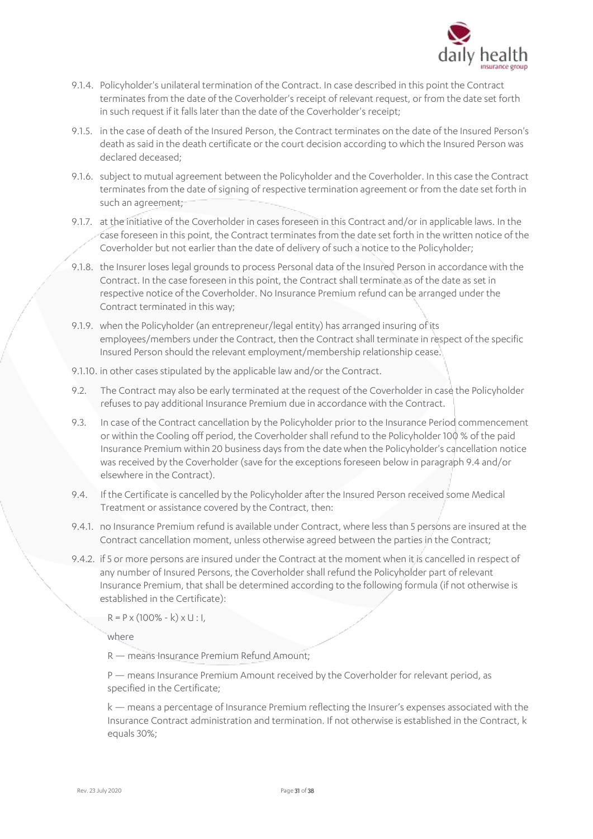

- 9.1.4. Policyholder's unilateral termination of the Contract. In case described in this point the Contract terminates from the date of the Coverholder's receipt of relevant request, or from the date set forth in such request if it falls later than the date of the Coverholder's receipt;
- 9.1.5. in the case of death of the Insured Person, the Contract terminates on the date of the Insured Person's death as said in the death certificate or the court decision according to which the Insured Person was declared deceased;
- 9.1.6. subject to mutual agreement between the Policyholder and the Coverholder. In this case the Contract terminates from the date of signing of respective termination agreement or from the date set forth in such an agreement;
- 9.1.7. at the initiative of the Coverholder in cases foreseen in this Contract and/or in applicable laws. In the case foreseen in this point, the Contract terminates from the date set forth in the written notice of the Coverholder but not earlier than the date of delivery of such a notice to the Policyholder;
- 9.1.8. the Insurer loses legal grounds to process Personal data of the Insured Person in accordance with the Contract. In the case foreseen in this point, the Contract shall terminate as of the date as set in respective notice of the Coverholder. No Insurance Premium refund can be arranged under the Contract terminated in this way;
- 9.1.9. when the Policyholder (an entrepreneur/legal entity) has arranged insuring of its employees/members under the Contract, then the Contract shall terminate in respect of the specific Insured Person should the relevant employment/membership relationship cease.
- 9.1.10. in other cases stipulated by the applicable law and/or the Contract.
- 9.2. The Contract may also be early terminated at the request of the Coverholder in case the Policyholder refuses to pay additional Insurance Premium due in accordance with the Contract.
- 9.3. In case of the Contract cancellation by the Policyholder prior to the Insurance Period commencement or within the Cooling off period, the Coverholder shall refund to the Policyholder 100 % of the paid Insurance Premium within 20 business days from the date when the Policyholder's cancellation notice was received by the Coverholder (save for the exceptions foreseen below in paragraph 9.4 and/or elsewhere in the Contract).
- 9.4. If the Certificate is cancelled by the Policyholder after the Insured Person received some Medical Treatment or assistance covered by the Contract, then:
- 9.4.1. no Insurance Premium refund is available under Contract, where less than 5 persons are insured at the Contract cancellation moment, unless otherwise agreed between the parties in the Contract;
- 9.4.2. if 5 or more persons are insured under the Contract at the moment when it is cancelled in respect of any number of Insured Persons, the Coverholder shall refund the Policyholder part of relevant Insurance Premium, that shall be determined according to the following formula (if not otherwise is established in the Certificate):

 $R = P \times (100\% - k) \times U$ : I,

where

R — means Insurance Premium Refund Amount;

P — means Insurance Premium Amount received by the Coverholder for relevant period, as specified in the Certificate;

k — means a percentage of Insurance Premium reflecting the Insurer's expenses associated with the Insurance Contract administration and termination. If not otherwise is established in the Contract, k equals 30%;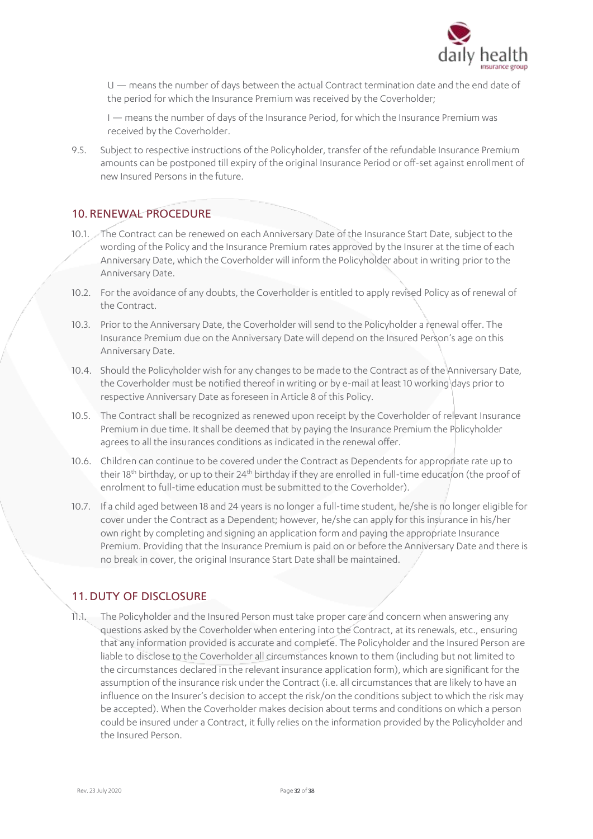

U — means the number of days between the actual Contract termination date and the end date of the period for which the Insurance Premium was received by the Coverholder;

I — means the number of days of the Insurance Period, for which the Insurance Premium was received by the Coverholder.

9.5. Subject to respective instructions of the Policyholder, transfer of the refundable Insurance Premium amounts can be postponed till expiry of the original Insurance Period or off-set against enrollment of new Insured Persons in the future.

### 10. RENEWAL PROCEDURE

- 10.1. The Contract can be renewed on each Anniversary Date of the Insurance Start Date, subject to the wording of the Policy and the Insurance Premium rates approved by the Insurer at the time of each Anniversary Date, which the Coverholder will inform the Policyholder about in writing prior to the Anniversary Date.
- 10.2. For the avoidance of any doubts, the Coverholder is entitled to apply revised Policy as of renewal of the Contract.
- 10.3. Prior to the Anniversary Date, the Coverholder will send to the Policyholder a renewal offer. The Insurance Premium due on the Anniversary Date will depend on the Insured Person's age on this Anniversary Date.
- 10.4. Should the Policyholder wish for any changes to be made to the Contract as of the Anniversary Date, the Coverholder must be notified thereof in writing or by e-mail at least 10 working days prior to respective Anniversary Date as foreseen in Article 8 of this Policy.
- 10.5. The Contract shall be recognized as renewed upon receipt by the Coverholder of relevant Insurance Premium in due time. It shall be deemed that by paying the Insurance Premium the Policyholder agrees to all the insurances conditions as indicated in the renewal offer.
- 10.6. Children can continue to be covered under the Contract as Dependents for appropriate rate up to their 18<sup>th</sup> birthday, or up to their 24<sup>th</sup> birthday if they are enrolled in full-time education (the proof of enrolment to full-time education must be submitted to the Coverholder).
- 10.7. If a child aged between 18 and 24 years is no longer a full-time student, he/she is no longer eligible for cover under the Contract as a Dependent; however, he/she can apply for this insurance in his/her own right by completing and signing an application form and paying the appropriate Insurance Premium. Providing that the Insurance Premium is paid on or before the Anniversary Date and there is no break in cover, the original Insurance Start Date shall be maintained.

## 11. DUTY OF DISCLOSURE

11.1. The Policyholder and the Insured Person must take proper care and concern when answering any questions asked by the Coverholder when entering into the Contract, at its renewals, etc., ensuring that any information provided is accurate and complete. The Policyholder and the Insured Person are liable to disclose to the Coverholder all circumstances known to them (including but not limited to the circumstances declared in the relevant insurance application form), which are significant for the assumption of the insurance risk under the Contract (i.e. all circumstances that are likely to have an influence on the Insurer's decision to accept the risk/on the conditions subject to which the risk may be accepted). When the Coverholder makes decision about terms and conditions on which a person could be insured under a Contract, it fully relies on the information provided by the Policyholder and the Insured Person.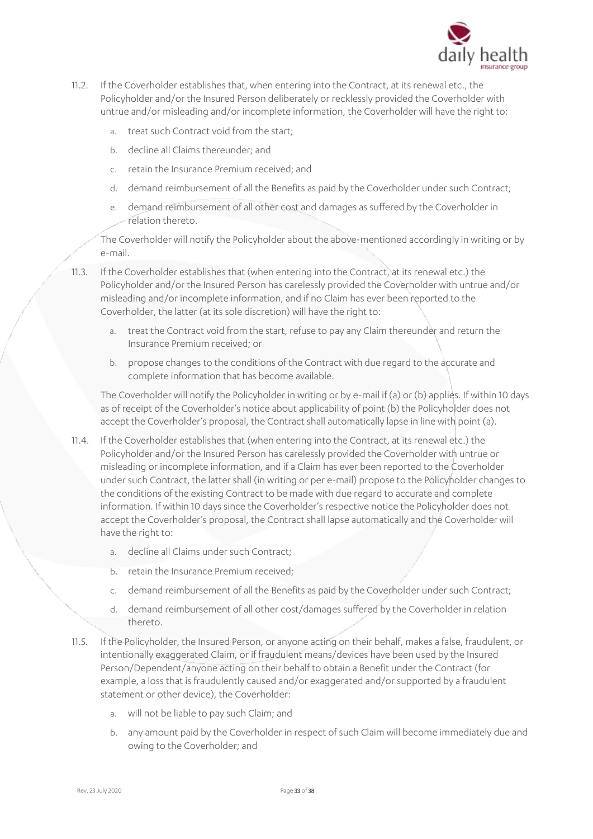

- 11.2. If the Coverholder establishes that, when entering into the Contract, at its renewal etc., the Policyholder and/or the Insured Person deliberately or recklessly provided the Coverholder with untrue and/or misleading and/or incomplete information, the Coverholder will have the right to:
	- a. treat such Contract void from the start;
	- b. decline all Claims thereunder; and
	- c. retain the Insurance Premium received; and
	- d. demand reimbursement of all the Benefits as paid by the Coverholder under such Contract;
	- e. demand reimbursement of all other cost and damages as suffered by the Coverholder in relation thereto.

The Coverholder will notify the Policyholder about the above-mentioned accordingly in writing or by e-mail.

- 11.3. If the Coverholder establishes that (when entering into the Contract, at its renewal etc.) the Policyholder and/or the Insured Person has carelessly provided the Coverholder with untrue and/or misleading and/or incomplete information, and if no Claim has ever been reported to the Coverholder, the latter (at its sole discretion) will have the right to:
	- a. treat the Contract void from the start, refuse to pay any Claim thereunder and return the Insurance Premium received; or
	- b. propose changes to the conditions of the Contract with due regard to the accurate and complete information that has become available.

The Coverholder will notify the Policyholder in writing or by e-mail if (a) or (b) applies. If within 10 days as of receipt of the Coverholder's notice about applicability of point (b) the Policyholder does not accept the Coverholder's proposal, the Contract shall automatically lapse in line with point (a).

- 11.4. If the Coverholder establishes that (when entering into the Contract, at its renewal etc.) the Policyholder and/or the Insured Person has carelessly provided the Coverholder with untrue or misleading or incomplete information, and if a Claim has ever been reported to the Coverholder under such Contract, the latter shall (in writing or per e-mail) propose to the Policyholder changes to the conditions of the existing Contract to be made with due regard to accurate and complete information. If within 10 days since the Coverholder's respective notice the Policyholder does not accept the Coverholder's proposal, the Contract shall lapse automatically and the Coverholder will have the right to:
	- a. decline all Claims under such Contract;
	- b. retain the Insurance Premium received;
	- c. demand reimbursement of all the Benefits as paid by the Coverholder under such Contract;
	- d. demand reimbursement of all other cost/damages suffered by the Coverholder in relation thereto.
- 11.5. If the Policyholder, the Insured Person, or anyone acting on their behalf, makes a false, fraudulent, or intentionally exaggerated Claim, or if fraudulent means/devices have been used by the Insured Person/Dependent/anyone acting on their behalf to obtain a Benefit under the Contract (for example, a loss that is fraudulently caused and/or exaggerated and/or supported by a fraudulent statement or other device), the Coverholder:
	- a. will not be liable to pay such Claim; and
	- b. any amount paid by the Coverholder in respect of such Claim will become immediately due and owing to the Coverholder; and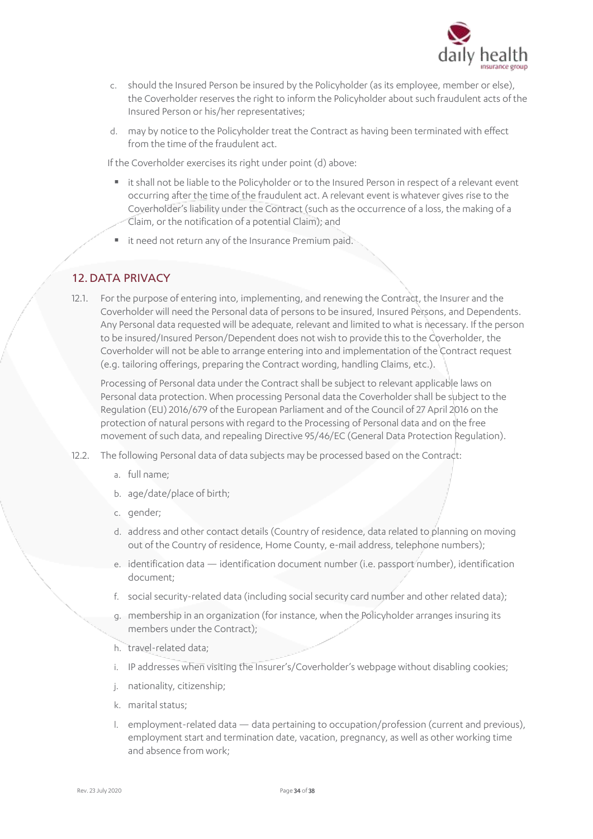

- c. should the Insured Person be insured by the Policyholder (as its employee, member or else), the Coverholder reserves the right to inform the Policyholder about such fraudulent acts of the Insured Person or his/her representatives;
- d. may by notice to the Policyholder treat the Contract as having been terminated with effect from the time of the fraudulent act.

If the Coverholder exercises its right under point (d) above:

- it shall not be liable to the Policyholder or to the Insured Person in respect of a relevant event occurring after the time of the fraudulent act. A relevant event is whatever gives rise to the Coverholder's liability under the Contract (such as the occurrence of a loss, the making of a Claim, or the notification of a potential Claim); and
- it need not return any of the Insurance Premium paid.

## 12.DATA PRIVACY

12.1. For the purpose of entering into, implementing, and renewing the Contract, the Insurer and the Coverholder will need the Personal data of persons to be insured, Insured Persons, and Dependents. Any Personal data requested will be adequate, relevant and limited to what is necessary. If the person to be insured/Insured Person/Dependent does not wish to provide this to the Coverholder, the Coverholder will not be able to arrange entering into and implementation of the Contract request (e.g. tailoring offerings, preparing the Contract wording, handling Claims, etc.).

Processing of Personal data under the Contract shall be subject to relevant applicable laws on Personal data protection. When processing Personal data the Coverholder shall be subject to the Regulation (EU) 2016/679 of the European Parliament and of the Council of 27 April 2016 on the protection of natural persons with regard to the Processing of Personal data and on the free movement of such data, and repealing Directive 95/46/EC (General Data Protection Regulation).

- 12.2. The following Personal data of data subjects may be processed based on the Contract:
	- a. full name;
	- b. age/date/place of birth;
	- c. gender;
	- d. address and other contact details (Country of residence, data related to planning on moving out of the Country of residence, Home County, e-mail address, telephone numbers);
	- e. identification data identification document number (i.e. passport number), identification document;
	- f. social security-related data (including social security card number and other related data);
	- g. membership in an organization (for instance, when the Policyholder arranges insuring its members under the Contract);
	- h. travel-related data;
	- i. IP addresses when visiting the Insurer's/Coverholder's webpage without disabling cookies;
	- j. nationality, citizenship;
	- k. marital status;
	- l. employment-related data data pertaining to occupation/profession (current and previous), employment start and termination date, vacation, pregnancy, as well as other working time and absence from work;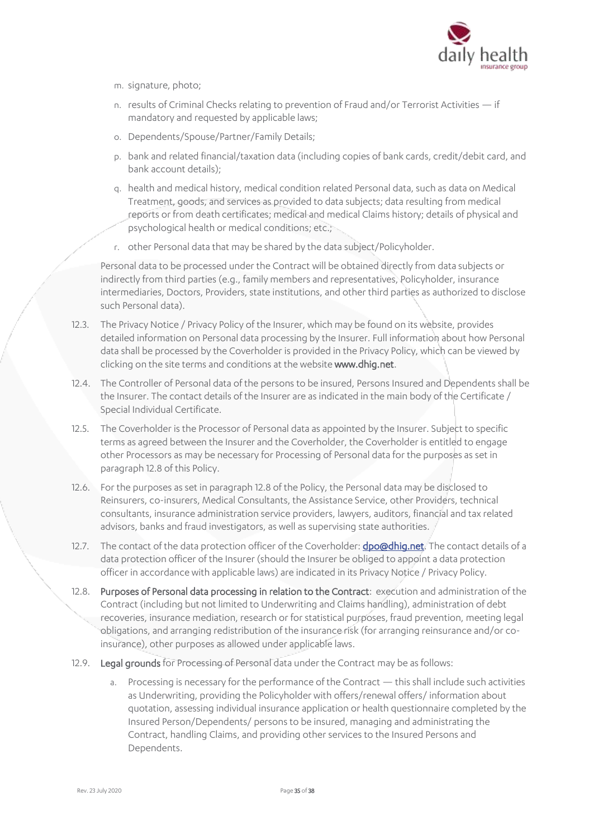

- m. signature, photo;
- n. results of Criminal Checks relating to prevention of Fraud and/or Terrorist Activities if mandatory and requested by applicable laws;
- o. Dependents/Spouse/Partner/Family Details;
- p. bank and related financial/taxation data (including copies of bank cards, credit/debit card, and bank account details);
- q. health and medical history, medical condition related Personal data, such as data on Medical Treatment, goods, and services as provided to data subjects; data resulting from medical reports or from death certificates; medical and medical Claims history; details of physical and psychological health or medical conditions; etc.;
- r. other Personal data that may be shared by the data subject/Policyholder.

Personal data to be processed under the Contract will be obtained directly from data subjects or indirectly from third parties (e.g., family members and representatives, Policyholder, insurance intermediaries, Doctors, Providers, state institutions, and other third parties as authorized to disclose such Personal data).

- 12.3. The Privacy Notice / Privacy Policy of the Insurer, which may be found on its website, provides detailed information on Personal data processing by the Insurer. Full information about how Personal data shall be processed by the Coverholder is provided in the Privacy Policy, which can be viewed by clicking on the site terms and conditions at the website www.dhig.net.
- 12.4. The Controller of Personal data of the persons to be insured, Persons Insured and Dependents shall be the Insurer. The contact details of the Insurer are as indicated in the main body of the Certificate / Special Individual Certificate.
- 12.5. The Coverholder is the Processor of Personal data as appointed by the Insurer. Subject to specific terms as agreed between the Insurer and the Coverholder, the Coverholder is entitled to engage other Processors as may be necessary for Processing of Personal data for the purposes as set in paragraph 12.8 of this Policy.
- 12.6. For the purposes as set in paragraph 12.8 of the Policy, the Personal data may be disclosed to Reinsurers, co-insurers, Medical Consultants, the Assistance Service, other Providers, technical consultants, insurance administration service providers, lawyers, auditors, financial and tax related advisors, banks and fraud investigators, as well as supervising state authorities.
- 12.7. The contact of the data protection officer of the Coverholder: **dpo@dhig.net**. The contact details of a data protection officer of the Insurer (should the Insurer be obliged to appoint a data protection officer in accordance with applicable laws) are indicated in its Privacy Notice / Privacy Policy.
- 12.8. Purposes of Personal data processing in relation to the Contract: execution and administration of the Contract (including but not limited to Underwriting and Claims handling), administration of debt recoveries, insurance mediation, research or for statistical purposes, fraud prevention, meeting legal obligations, and arranging redistribution of the insurance risk (for arranging reinsurance and/or coinsurance), other purposes as allowed under applicable laws.
- 12.9. Legal grounds for Processing of Personal data under the Contract may be as follows:
	- a. Processing is necessary for the performance of the Contract this shall include such activities as Underwriting, providing the Policyholder with offers/renewal offers/ information about quotation, assessing individual insurance application or health questionnaire completed by the Insured Person/Dependents/ persons to be insured, managing and administrating the Contract, handling Claims, and providing other services to the Insured Persons and Dependents.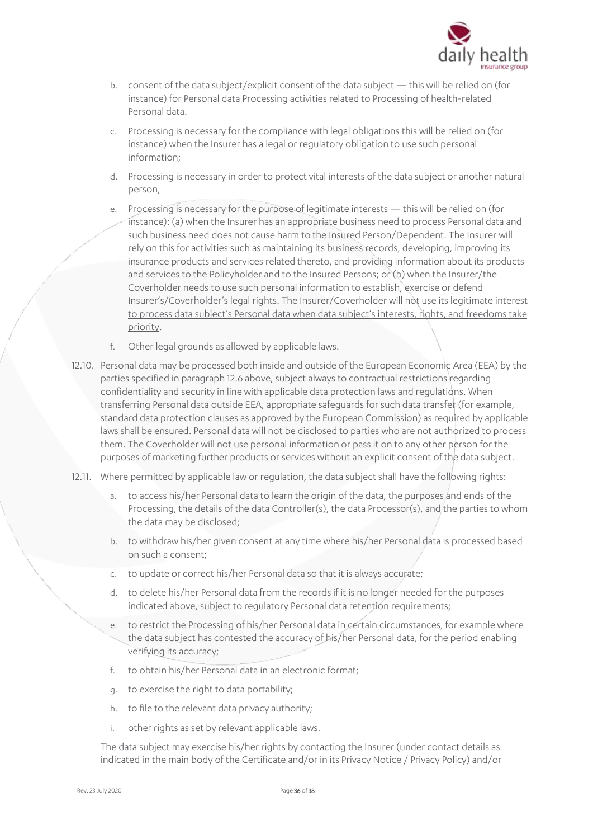

- b. consent of the data subject/explicit consent of the data subject this will be relied on (for instance) for Personal data Processing activities related to Processing of health-related Personal data.
- c. Processing is necessary for the compliance with legal obligations this will be relied on (for instance) when the Insurer has a legal or regulatory obligation to use such personal information;
- d. Processing is necessary in order to protect vital interests of the data subject or another natural person,
- e. Processing is necessary for the purpose of legitimate interests this will be relied on (for instance): (a) when the Insurer has an appropriate business need to process Personal data and such business need does not cause harm to the Insured Person/Dependent. The Insurer will rely on this for activities such as maintaining its business records, developing, improving its insurance products and services related thereto, and providing information about its products and services to the Policyholder and to the Insured Persons; or (b) when the Insurer/the Coverholder needs to use such personal information to establish, exercise or defend Insurer's/Coverholder's legal rights. The Insurer/Coverholder will not use its legitimate interest to process data subject's Personal data when data subject's interests, rights, and freedoms take priority.
- f. Other legal grounds as allowed by applicable laws.
- 12.10. Personal data may be processed both inside and outside of the European Economic Area (EEA) by the parties specified in paragraph 12.6 above, subject always to contractual restrictions regarding confidentiality and security in line with applicable data protection laws and regulations. When transferring Personal data outside EEA, appropriate safeguards for such data transfer (for example, standard data protection clauses as approved by the European Commission) as required by applicable laws shall be ensured. Personal data will not be disclosed to parties who are not authorized to process them. The Coverholder will not use personal information or pass it on to any other person for the purposes of marketing further products or services without an explicit consent of the data subject.
- 12.11. Where permitted by applicable law or regulation, the data subject shall have the following rights:
	- a. to access his/her Personal data to learn the origin of the data, the purposes and ends of the Processing, the details of the data Controller(s), the data Processor(s), and the parties to whom the data may be disclosed;
	- b. to withdraw his/her given consent at any time where his/her Personal data is processed based on such a consent;
	- c. to update or correct his/her Personal data so that it is always accurate;
	- d. to delete his/her Personal data from the records if it is no longer needed for the purposes indicated above, subject to regulatory Personal data retention requirements;
	- e. to restrict the Processing of his/her Personal data in certain circumstances, for example where the data subject has contested the accuracy of his/her Personal data, for the period enabling verifying its accuracy;
	- f. to obtain his/her Personal data in an electronic format;
	- g. to exercise the right to data portability;
	- h. to file to the relevant data privacy authority;
	- i. other rights as set by relevant applicable laws.

The data subject may exercise his/her rights by contacting the Insurer (under contact details as indicated in the main body of the Certificate and/or in its Privacy Notice / Privacy Policy) and/or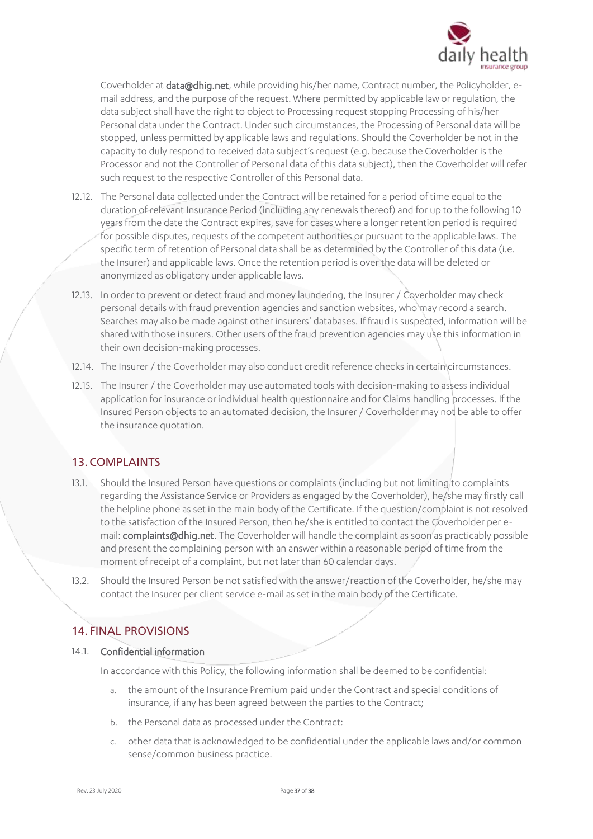

Coverholder at data@dhig.net, while providing his/her name, Contract number, the Policyholder, email address, and the purpose of the request. Where permitted by applicable law or regulation, the data subject shall have the right to object to Processing request stopping Processing of his/her Personal data under the Contract. Under such circumstances, the Processing of Personal data will be stopped, unless permitted by applicable laws and regulations. Should the Coverholder be not in the capacity to duly respond to received data subject's request (e.g. because the Coverholder is the Processor and not the Controller of Personal data of this data subject), then the Coverholder will refer such request to the respective Controller of this Personal data.

- 12.12. The Personal data collected under the Contract will be retained for a period of time equal to the duration of relevant Insurance Period (including any renewals thereof) and for up to the following 10 years from the date the Contract expires, save for cases where a longer retention period is required for possible disputes, requests of the competent authorities or pursuant to the applicable laws. The specific term of retention of Personal data shall be as determined by the Controller of this data (i.e. the Insurer) and applicable laws. Once the retention period is over the data will be deleted or anonymized as obligatory under applicable laws.
- 12.13. In order to prevent or detect fraud and money laundering, the Insurer / Coverholder may check personal details with fraud prevention agencies and sanction websites, who may record a search. Searches may also be made against other insurers' databases. If fraud is suspected, information will be shared with those insurers. Other users of the fraud prevention agencies may use this information in their own decision-making processes.
- 12.14. The Insurer / the Coverholder may also conduct credit reference checks in certain circumstances.
- 12.15. The Insurer / the Coverholder may use automated tools with decision-making to assess individual application for insurance or individual health questionnaire and for Claims handling processes. If the Insured Person objects to an automated decision, the Insurer / Coverholder may not be able to offer the insurance quotation.

### 13. COMPLAINTS

- 13.1. Should the Insured Person have questions or complaints (including but not limiting to complaints regarding the Assistance Service or Providers as engaged by the Coverholder), he/she may firstly call the helpline phone as set in the main body of the Certificate. If the question/complaint is not resolved to the satisfaction of the Insured Person, then he/she is entitled to contact the Coverholder per email: complaints@dhig.net. The Coverholder will handle the complaint as soon as practicably possible and present the complaining person with an answer within a reasonable period of time from the moment of receipt of a complaint, but not later than 60 calendar days.
- 13.2. Should the Insured Person be not satisfied with the answer/reaction of the Coverholder, he/she may contact the Insurer per client service e-mail as set in the main body of the Certificate.

### 14. FINAL PROVISIONS

#### 14.1. Confidential information

In accordance with this Policy, the following information shall be deemed to be confidential:

- a. the amount of the Insurance Premium paid under the Contract and special conditions of insurance, if any has been agreed between the parties to the Contract;
- b. the Personal data as processed under the Contract:
- c. other data that is acknowledged to be confidential under the applicable laws and/or common sense/common business practice.